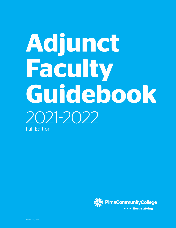# **Adjunct Faculty Guidebook** 2021-2022 Fall Edition

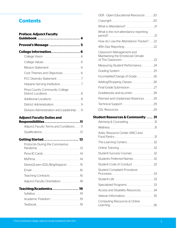# **Contents**

| <b>Preface: Adjunct Faculty</b><br>Guidebook  4        |  |  |  |
|--------------------------------------------------------|--|--|--|
| Provost's Message  5                                   |  |  |  |
| College Information 6                                  |  |  |  |
|                                                        |  |  |  |
|                                                        |  |  |  |
|                                                        |  |  |  |
| Core Themes and Objectives 6                           |  |  |  |
|                                                        |  |  |  |
|                                                        |  |  |  |
| Pima County Community College<br>District Locations  8 |  |  |  |
|                                                        |  |  |  |
| District Administration 9                              |  |  |  |
| Division Administration and Leadership9                |  |  |  |

# **[Adjunct Faculty Duties and](#page-10-0)**

| <b>Responsibilities 11</b>             |  |
|----------------------------------------|--|
| Adjunct Faculty Terms and Conditions11 |  |
|                                        |  |
| Getting Started 13                     |  |
| Protocols During the Coronavirus       |  |
| Pima ID Cards 14                       |  |
|                                        |  |
| Desire2Learn (D2L/Brightspace) 15      |  |
|                                        |  |
| Teaching Contracts  16                 |  |
| Adjunct Faculty Orientation 18         |  |
| Teaching/Academics 19                  |  |
|                                        |  |
| Academic Freedom 19                    |  |
|                                        |  |

| OER - Open Educational Resources 20                                      |  |
|--------------------------------------------------------------------------|--|
|                                                                          |  |
|                                                                          |  |
| What is the non-attendance reporting                                     |  |
| How do I use the Attendance Tracker?22                                   |  |
|                                                                          |  |
| Classroom Management and<br>Maintaining the Emotional Climate            |  |
| Measuring Student Performance24                                          |  |
| Grading System25                                                         |  |
| Incomplete/Change of Grade26                                             |  |
| Adding/Dropping Classes26                                                |  |
|                                                                          |  |
| Gradebooks and eLumen28                                                  |  |
| Planned and Unplanned Absences29                                         |  |
| Technical Support29                                                      |  |
| D2L Resources29                                                          |  |
|                                                                          |  |
|                                                                          |  |
| <b>Student Resources &amp; Community  31</b><br>Advising & Counseling 31 |  |
|                                                                          |  |
| Aztec Resource Center (ARC) and<br>Food Pantry31                         |  |
| The Learning Centers32                                                   |  |
| Online Tutoring 32                                                       |  |
| Student Success Courses32                                                |  |
| Students Preferred Names32                                               |  |
| Student Code of Conduct 32                                               |  |
| <b>Student Complaint Procedure</b>                                       |  |
|                                                                          |  |
| Specialized Programs33                                                   |  |
| Access and Disability Resources34                                        |  |
| Veteran Information35                                                    |  |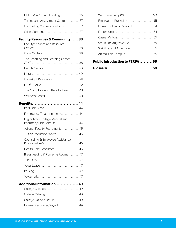| HEERF/CARES Act Funding 36       |  |
|----------------------------------|--|
| Testing and Assessment Centers37 |  |
| Computing Commons & Labs37       |  |
|                                  |  |

# **[Faculty Resources & Community . . . . .](#page-37-0) 38**

| <b>Faculty Services and Resource</b> |  |
|--------------------------------------|--|
|                                      |  |
| Copy Centers 38                      |  |
| The Teaching and Learning Center     |  |
|                                      |  |
|                                      |  |
|                                      |  |
| Copyright Resources 41               |  |
|                                      |  |
| The Compliance & Ethics Hotline43    |  |
| Wellness Center43                    |  |

| Paid Sick Leave 44                                              |  |
|-----------------------------------------------------------------|--|
| Emergency Treatment Leave 44                                    |  |
| Eligibility for College Medical and<br>Pharmacy Plan Benefits44 |  |
| Adjunct Faculty Retirement45                                    |  |
| Tuition Reduction/Waiver46                                      |  |
| Counseling & Employee Assistance                                |  |
| Health Care Resources46                                         |  |
| Breastfeeding & Pumping Rooms47                                 |  |
|                                                                 |  |
| Voter Leave 47                                                  |  |
|                                                                 |  |
|                                                                 |  |
| <b>Additional Information 49</b>                                |  |

| College Calendars49       |  |
|---------------------------|--|
|                           |  |
| College Class Schedule 49 |  |
| Human Resources/Payroll49 |  |

| Glossary58                     |  |
|--------------------------------|--|
| Public Introduction to FERPA56 |  |
| Animals on Campus 55           |  |
| Soliciting and Advertising55   |  |
| Smoking/Drugs/Alcohol 55       |  |
| Casual Visitors55              |  |
|                                |  |
| Human Subjects Research54      |  |
| Emergency Procedures51         |  |
| Web Time Entry (WTE)50         |  |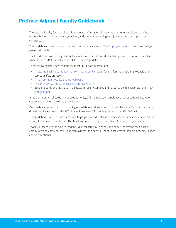# <span id="page-3-0"></span>**Preface: Adjunct Faculty Guidebook**

The Adjunct Faculty Guidebook provides general information about Pima Community College, benefits, responsibilities, campus services, teaching, and contacts pertaining to adjunct faculty that apply across campuses.

This guidebook is a resource for you, and is not a policy manual. The [Employee Handbook](https://pima.edu/administration/human-resources/employee-handbook/index.html) explains College personnel policies.

The Fall 2021 version of the guidebook includes information on virtual and in-person operations as well as where to access PCC's most recent COVID-19 health guidelines.

These following references contain the most up-to-date information:

- ["Welcome Back To Campus: What To Know About Fall 2021"](https://www.pima.edu/news/coronavirus/index.html) for all information relating to COVID and campus safety protocols
- Pima Community Colleg[e home web page](http://www.pima.edu)
- The [@PimaNews](https://www.pima.edu/faculty-staff/pimanews/) Intra-College Electronic Newsletter
- Bulletin boards and individual mail boxes in Faculty Services and Resource Centers (also, visit their [new](https://sites.google.com/pima.edu/facultyservices)  [virtual home\)](https://sites.google.com/pima.edu/facultyservices).

Pima Community College is an equal opportunity, affirmative action employer, and educational institution committed to excellence through diversity.

Reasonable accommodations, including materials in an alternative format, will be made for individuals with disabilities. Please contact the PCC Human Resources Office at: [hr@pima.edu](mailto:hr@pima.edu) or (520) 206-4624.

This guidebook is revised each semester. To propose an edit, please contact Lisa Schumaier - Director, Adjunct Faculty Institute (AFI) and Fellow, The Teaching and Learning Center (TLC) - at [lschumaier@pima.edu.](mailto:lschumaier%40pima.edu?subject=)

Thank you for taking the time to read the Adjunct Faculty Guidebook and better understand the College's community and commitments, your employment, and how your experience here at Pima Community College can be exceptional.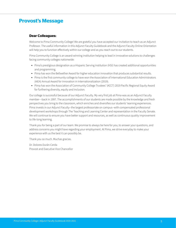# <span id="page-4-0"></span>**Provost's Message**

#### **Dear Colleagues:**

Welcome to Pima Community College! We are grateful you have accepted our invitation to teach as an Adjunct Professor. The useful information in this Adjunct Faculty Guidebook and the Adjunct Faculty Online Orientation will help you to function effectively within our college and as you reach out to our students.

Pima Community College is an award-winning institution helping to lead in innovative solutions to challenges facing community colleges nationwide:

- Pima's prestigious designation as a Hispanic Serving Institution (HSI) has created additional opportunities and programming.
- Pima has won the Bellwether Award for higher education innovation that produces substantial results.
- Pima is the first community college to have won the Association of International Education Administrators (AIEA) Annual Award for Innovation in Internationalization (2019).
- Pima has won the Association of Community College Trustees' (ACCT) 2019 Pacific Regional Equity Award for furthering diversity, equity and inclusion.

Our college is successful because of our Adjunct Faculty. My very first job at Pima was as an Adjunct Faculty member---back in 1997. The accomplishments of our students are made possible by the knowledge and fresh perspectives you bring to the classroom, which enriches and diversifies our students' learning experiences. Pima invests in our Adjunct Faculty--the largest professoriate on campus--with compensated professional development workshops through The Teaching and Learning Center and representation in the Faculty Senate. We will continue to ensure you have better support and resources, as well as continuous quality improvement to life-long learning.

Thank you for being a part of our team. We promise to always be here for you, to answer your questions, and address concerns you might have regarding your employment. At Pima, we strive everyday to make your experience with us the best it can possibly be.

Thank you so much. Muchas gracias.

Dr. Dolores Durán-Cerda Provost and Executive Vice Chancellor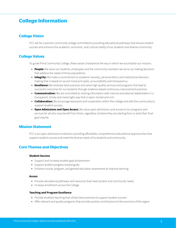# <span id="page-5-0"></span>**College Information**

# **College Vision**

PCC will be a premier community college committed to providing educational pathways that ensure student success and enhance the academic, economic, and cultural vitality of our students and diverse community.

# **College Values**

To guide Pima Community College, these values characterize the way in which we accomplish our mission:

- **People:** We value our students, employees and the community members we serve, by making decisions that address the needs of those populations.
- **Integrity:** We make a commitment to academic honesty, personal ethics and institutional decisionmaking that is based on sound moral principles, accountability and transparency.
- **Excellence:** We embrace best practices and value high quality services and programs that lead to successful outcomes for our students through evidence-based continuous improvement practices.
- **Communication:** We are committed to sharing information with internal and external stakeholders in a transparent, timely and meaningful way that is open, honest and civil.
- **Collaboration:** We encourage teamwork and cooperation within the College and with the community to support student success.
- **Open Admissions and Open Access:** We value open admissions and access to our programs and services for all who may benefit from them, regardless of where they are starting from or what their final goal may be.

# **Mission Statement**

PCC is an open-admissions institution providing affordable, comprehensive educational opportunities that support student success and meet the diverse needs of its students and community.

# **Core Themes and Objectives**

#### **Student Success**

- Support and increase student goal achievement
- Support student progress toward goals
- Enhance course, program, and general education assessment to improve learning

#### **Access**

- Provide educational pathways and resources that meet student and community needs
- Increase enrollment across the College

#### **Teaching and Program Excellence**

- Provide excellent teaching that utilizes best practices to support student success
- Offer relevant and quality programs that provide positive contributions to the economy of the region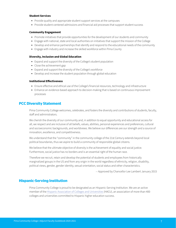#### <span id="page-6-0"></span>**Student Services**

- Provide quality and appropriate student support services at the campuses
- Provide student-centered admissions and financial aid processes that support student success

#### **Community Engagement**

- Promote initiatives that provide opportunities for the development of our students and community
- Engage with national, state and local authorities on initiatives that support the mission of the College
- Develop and enhance partnerships that identify and respond to the educational needs of the community
- Engage with industry and increase the skilled workforce within Pima County

#### **Diversity, Inclusion and Global Education**

- Expand and support the diversity of the College's student population
- Close the achievement gap
- Expand and support the diversity of the College's workforce
- Develop and increase the student population through global education

#### **Institutional Effectiveness**

- Ensure effective and ethical use of the College's financial resources, technology and infrastructure
- Enhance an evidence-based approach to decision-making that is based on continuous improvement processes

# **PCC Diversity Statement**

Pima Community College welcomes, celebrates, and fosters the diversity and contributions of students, faculty, staff and administrators.

We cherish the diversity of our community and, in addition to equal opportunity and educational access for all, we respect and are inclusive of all beliefs, values, abilities, personal experiences and preferences, cultural and socioeconomic backgrounds, and worldviews. We believe our differences are our strength and a source of innovation, excellence, and competitiveness.

We understand that the "community" in the community college of the 21st Century extends beyond local political boundaries, thus we aspire to build a community of responsible global citizens.

We believe that the ultimate objective of diversity is the achievement of equality and social justice. Furthermore, social justice has no borders and is an essential right of the human race.

Therefore we recruit, retain and develop the potential of students and employees from historically marginalized groups in the US and from any origin in the world regardless of ethnicity, religion, disability, political views, gender, gender identity, sexual orientation, social status and other characteristics.

-- Approved by Chancellor Lee Lambert January 2015

# **Hispanic-Serving Institution**

Pima Community College is proud to be designated as an Hispanic-Serving Institution. We are an active member of the [Hispanic Association of Colleges and Universities](http://www.hacu.net/) (HACU), an association of more than 400 colleges and universities committed to Hispanic higher education success.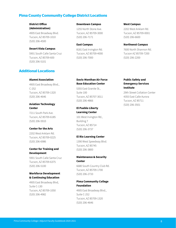# <span id="page-7-0"></span>**Pima County Community College District Locations**

#### **District Office (Administration)**

4905 East Broadway Blvd. Tucson, AZ 85709-1010 (520) 206-4500

#### **Desert Vista Campus**

5901 South Calle Santa Cruz Tucson, AZ 85709-600 (520) 206-5101

# **Additional Locations**

#### **Alumni Association**

4905 East Broadway Blvd., C-252 Tucson, AZ 85709-1320 (520) 206-4646

#### **Aviation Technology Center**

7211 South Park Ave. Tucson, AZ 85709-6185 (520) 206-5910

#### **Center for the Arts**

2202 West Anklam Rd. Tucson, AZ 85709-0225 (520) 206-6986

#### **Center for Training and Development**

5901 South Calle Santa Cruz Tucson, AZ 85709-6375 (520) 206-5100

# **Workforce Development & Continuing Education**

4905 East Broadway Blvd, Suite C-130 Tucson, AZ 85709-1050 (520) 206-4982

#### **Downtown Campus**

1255 North Stone Ave. Tucson, AZ 85709-3000 (520) 206-7171

#### **East Campus**

8181 East Irvington Rd. Tucson, AZ 85709-4000 (520) 206-7000

# **Davis-Monthan Air Force Base Education Center**

5355 East Granite St., Suite 100 Tucson, AZ 85707-3011 (520) 206-4866

### **El Pueblo Liberty Learning Center**

101 West Irvington Rd., Building 7 Tucson, AZ 85714 (520) 206-3737

#### **El Rio Learning Center**

1390 West Speedway Blvd. Tucson, AZ 85745 (520) 206-3800

#### **Maintenance & Security Center**

6680 South Country Club Rd. Tucson, AZ 85709-1700 (520) 206-2733

#### **Pima Community College Foundation**

4905 East Broadway Blvd., Suite C-252 Tucson, AZ 85709-1320 (520) 206-4646

#### **West Campus**

2202 West Anklam Rd. Tucson, AZ 85709-0001 (520) 206-6600

#### **Northwest Campus**

7600 North Shannon Rd. Tucson AZ 85709-7200 (520) 206-2200

# **Public Safety and Emergency Services Institute**

29th Street Collation Center 4355 East Calle Aurora Tucson, AZ 85711 (520) 206-3501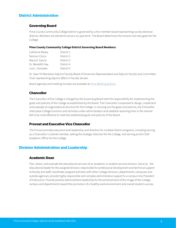# <span id="page-8-0"></span>**District Administration**

# **Governing Board**

Pima County Community College District is governed by a five-member board representing county electoral districts. Members are elected to serve a six-year term. The Board determines the mission and sets goals for the College.

#### **Pima County Community College District Governing Board Members:**

| Catherine Ripley | District 1 |
|------------------|------------|
| Demion Clinco    | District 2 |
| Maria D. Garcia  | District 3 |
| Dr. Meredith Hay | District 4 |
| Luis L. Gonzales | District 5 |

Dr. Sean HV Mendoza: Adjunct Faculty Board of Governors Representative and Adjunct Faculty Sub-Committee Chair representing adjunct affairs in Faculty Senate.

Board agendas and meeting minutes are available at [Pima Meeting Notices.](https://www.pima.edu/about-pima/leadership-policies/governing-board/board-meetings/documents.html)

### **Chancellor**

The Chancellor of the College is charged by the Governing Board with the responsibility for implementing the goals and policies of the College as established by the Board. The Chancellor is expected to design, implement and evaluate an organizational structure for the College. In carrying out the goals and policies, the Chancellor shall place College functions and activities under administrators and establish reporting lines in the manner felt to be most effective to meet the established goals and policies of the Board.

# **Provost and Executive Vice Chancellor**

The Provost provides executive level leadership and direction for multiple District programs, including serving as a Chancellor's Cabinet member, setting the strategic direction for the College, and serving as the Chief Academic Officer for the College.

# **Division Administration and Leadership**

#### **Academic Dean**

Plan, direct, and evaluate the educational services of an academic or student services division. Serve as the educational leader for the assigned division; responsible for professional development and technical support to faculty and staff; coordinate assigned activities with other College divisions, departments, campuses and outside agencies; provide highly responsible and complex administrative support to a campus Vice President of Instruction. Provide positive administrative leadership for the enhancement of the image of the College, campus and departments toward the promotion of a healthy work environment and overall student success.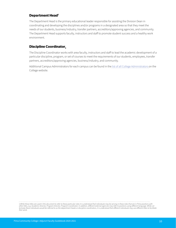# **Department Head1**

The Department Head is the primary educational leader responsible for assisting the Division Dean in coordinating and developing the disciplines and/or programs in a designated area so that they meet the needs of our students, business/industry, transfer partners, accreditors/approving agencies, and community. The Department Head supports faculty, instructors and staff to promote student success and a healthy work environment.

# **Discipline Coordinator,**

The Discipline Coordinator works with area faculty, instructors and staff to lead the academic development of a particular discipline, program, or set of courses to meet the requirements of our students, employees, transfer partners, accreditors/approving agencies, business/industry, and community.

Additional Campus Administrators for each campus can be found in the [list of all College Administrators o](https://www.pima.edu/about-pima/leadership-policies/executive-leadership-team/index.html)n the College website.

<sup>1</sup> *While these titles are used in this document to refer to these particular roles it is understood that individuals may be serving in these roles that are in Pima positions with*  lectively these individuals would be referred to as the department heads or discipline coordinators, it is understood that different individuals may use different titles to facilitate *their work.*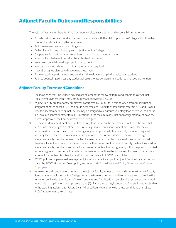# <span id="page-10-0"></span>**Adjunct Faculty Duties and Responsibilities**

The Adjunct faculty members for Pima Community College have duties and responsibilities as follows:

- Provide instruction and conduct classes in accordance with the philosophy of the College and within the course of study defined by the department
- Perform necessary educational obligations
- Be familiar with the philosophy and objectives of the College
- Cooperate with full-time faculty members in regard to educational matters
- Attend scheduled meetings called by authorized personnel
- Assume responsibility to keep certification current
- Keep accurate records and submit all records when required
- Meet all assigned classes with adequate preparation
- Evaluate student performance and conduct fair evaluations applied equally to all students
- Refer to counseling services any student whose scholastic or personal needs require special attention

# **Adjunct Faculty Terms and Conditions**

- 1. I acknowledge that I have been advised of and accept the following terms and conditions of Adjunct Faculty employment with Pima Community College District (PCCCD).
- 2. Adjunct Faculty are temporary employees contracted by PCCCD for a temporary classroom instruction assignment not to exceed 10.5 load hours per semester. During the three summer terms-A, B, and C, a fulltime faculty member or Adjunct Faculty may be assigned a maximum voluntary load of twelve load hours inclusive of all three summer terms. Exceptions to the maximum instructional assignment must have the written approval of the Campus President or designee.
- 3. Because student enrollment and full-time faculty loads may not be determined until after the date that an Adjunct Faculty signs a contract, that is contingent upon sufficient student enrollment for the course to be taught and upon the course not being assigned as part of a full-time faculty member's required teaching load. If there is insufficient course enrollment, the contract is void. If the course is assigned to a full-time faculty member to meet that faculty member's required teaching load, the contract is void. If there is sufficient enrollment for the course, and if the course is not required to satisfy the teaching load for a full-time faculty member, the contract is a one-semester teaching assignment, with no express or implied future assignments. A contract provides no guarantee of continued or future employment. The payment amount for a contract is subject to audit and conformance to PCCCD pay policies.
- 4. PCCCD policies on personnel management, including benefits, apply to Adjunct Faculty only as expressly stated by PCCCD Governing Board policy and as set forth in the [Personnel Policy Statement for College](https://www.pima.edu/faculty-staff/pimanews/)  [Employees](https://www.pima.edu/faculty-staff/pimanews/)
- 5. As an expressed condition of a contract, the Adjunct Faculty agrees to meet and continue to meet-Faculty Standards as established by the College during the term of a contract and to complete and to provide the following on file with the District Office of Contracts and Certification: Completed employment paperwork to include (1) application for employment and (2) official transcripts, licenses and/or certificates applicable to the teaching assignment. Failure by an Adjunct Faculty to comply with these conditions shall allow PCCCD to terminate the contract.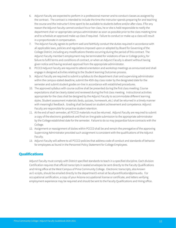- <span id="page-11-0"></span>6. Adjunct Faculty are expected to perform in a professional manner and to conduct classes as assigned by the contract. The contract is intended to include the time the instructor spends preparing for and teaching the course and the instructor's time spent to be available to students before and/or after class. If for any reason the Adjunct Faculty cannot conduct his or her class, he or she is held responsible to notify the department chair or appropriate campus administrator as soon as possible prior to the class meeting time and to schedule an approved make-up class if required. Failure to conduct or make-up a class will result in a proportionate in compensation.
- 7. The Adjunct Faculty agrees to perform well and faithfully conduct the duties required in accordance with all applicable laws, policies and regulations imposed upon or adopted by Board for Governing of the College District, including any modifications thereto occurring during the period of this contract. The Adjunct Faculty member's employment may be terminated for violations of law or College policy, for failure to fulfill terms and conditions of contract, or when an Adjunct Faculty is absent without having given notice and having received approval from the appropriate administrator.
- 8. PCCCD Adjunct Faculty are required to attend orientation and workshop meetings as announced and shall engage in designed activities relating to the Student learning Outcomes process.
- 9. Adjunct Faculty are required to submit a syllabus to the department chair and supervising administrator within the campus-stated deadline, submit the 45th day class roster by the designated date for the semester and submit student grades on-line in accordance with established procedures.
- 10. The approved syllabus with course outline shall be presented during the first class meeting. Course expectations shall be clearly stated and reviewed during the first class meeting. Instructional activities appropriate for the class shall be designed by the Adjunct Faculty to accommodate different learning styles. Student assessment materials (tests, quizzes, homework, etc.) shall be returned in a timely manner with meaningful feedback. Grading shall be based on student achievement and competence. Adjunct Faculty are responsible for proactive student retention.
- 11. At the end of each semester, all PCCCD materials must be returned. Adjunct Faculty are required to submit a copy of the electronic gradebook and final on-line grade submission to the appropriate administrator by the College established date for the semester. Failure to do so may jeopardize future contracts with the College.
- 12. Assignment or reassignment of duties within PCCCD shall be and remain the prerogative of the approving Supervising Administrator provided such assignment is consistent with the qualifications of the Adjunct Faculty.
- 13. Adjunct Faculty will adhere to all PCCCD policies that address code of conduct and standards of behavior for employees as found in the Personnel Policy Statement for College Employees.

# **Qualifications**

Adjunct Faculty must comply with District specified standards to teach in a specified discipline. Each division Certification requires that official transcripts in sealed envelopes be sent directly to the Faculty Qualifications and Hiring office at the West Campus of Pima Community College. Electronic transcripts, also known as E-scripts, should be emailed directly to the department's email at facultycertification@pima.edu. For occupational certification, a copy of your Arizona occupational license or certificate, and letters verifying employment experience may be required and should be sent to the Faculty Qualifications and Hiring office.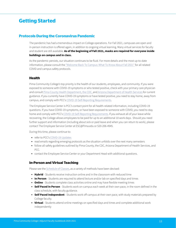# <span id="page-12-0"></span>**Getting Started**

# **Protocols During the Coronavirus Pandemic**

The pandemic has had a tremendous impact on College operations. For Fall 2021, campuses are open and in-person instruction is offered again, in addition to ongoing virtual learning. Many virtual services for faculty and student are still available. **As of the beginning of Fall 2021, masks are required for everyone inside buildings on campus and in class.** 

As the pandemic persists, our situation continues to be fluid. For more details and the most up-to-date information, please consult the ["Welcome Back To Campus: What To Know About Fall 2021" f](https://www.pima.edu/news/coronavirus/index.html)or all related COVID and campus safety protocols.

# **Health**

Pima Community College's top priority is the health of our students, employees, and community. If you were exposed to someone with COVID-19 symptoms or who tested positive, check with your primary care physician and consult [Pima County Health](https://webcms.pima.gov/government/health_department/) [Department,](https://webcms.pima.gov/government/health_department/) [the CDC,](http://cdc.gov/coronavirus/2019-ncov) an[d Arizona Department of Health Services](https://azdhs.gov/preparedness/epidemiology-disease-control/infectious-disease-epidemiology/index.php#novel-coronavirus-what-everyone-needs) for current guidance. If you currently have COVID-19 symptoms or have tested positive, you need to stay home, away from campus, and comply with PCC's [COVID-19 Self-Reporting Requirements.](https://www.pima.edu/administration/human-resources/employee-handbook/docs/covid-19-faqs.pdf)

The Employee Service Center is PCC's contact point for all health-related information, including COVID-19 questions. If you have COVID-19 symptoms, or have been exposed to someone with COVID, you need to stay home and comply with PCC's [COVID-19 Self-Reporting Requirements.](https://www.pima.edu/administration/human-resources/employee-handbook/docs/covid-19-faqs.pdf) If you exhaust all of your leave while recovering, the College allows employees to be paid for up to an additional 10 work days. Should you need further support and information (including about sick or paid leave and when you can return to work), please contact The Employee Service Center at ESC@Pima.edu or 520-206-4945.

During this time, please continue to:

- refer to PCC's [COVID-19 Updates](https://www.pima.edu/news/coronavirus/index.html)
- read emails regarding emerging protocols as the situation unfolds over the next many semesters
- follow all safety guidelines outlined by Pima County, the CDC, Arizona Department of Health Services, and PCC.
- contact the Employee Service Center or your Department Head with additional questions.

#### **In-Person and Virtual Teaching**

Please see the [Schedule of Classes,](https://www.pima.edu/academics-programs/schedule/index.html) as a variety of methods have been devised:

- **Hybrid** Students receive instruction online and in the classroom with reduced time
- **In Person** Students are required to attend lecture and/or lab on specified days and times
- **Online** Students complete class activities online and may have flexible meeting times
- **Self Paced In Person** Students work on-campus each week at their own pace, in the room defined in the class schedule, with faculty guidance.
- **Self Paced Independent** Students work off-campus at their own pace, with study materials prepared by College faculty.
- **Virtual** Students attend online meetings on specified days and times and complete additional work independently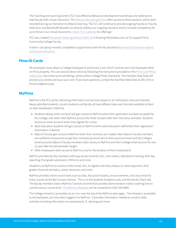<span id="page-13-0"></span>The Teaching and Learning Center (TLC) has offered professional development workshops and webinars to help faculty with virtual instruction. The [Webinar Recording Archive](https://docs.google.com/document/d/1Kg0tkpIKRfk_5HVy4Zg8isx6257Gq3S6gL-3SvGM2Z0/edit?usp=sharing) offers access to these sessions, which were recorded during our transition to distance learning. The TLC will continue to provide ongoing Faculty-to-Faculty Help Hour and Bandwidth Boosters to directly address our ongoing transition and to increase competency for us to thrive in our virtual classrooms. [Check TLC's calendar](https://calendar.google.com/calendar/embed?src=pima.edu_mudv283q78jsat5vuolsb0qms4%40group.calendar.google.com&ctz=America%2FPhoenix) for offerings!

PCC also created [Virtualized Teaching Amidst COVID-19:](https://docs.google.com/document/d/1z6EVDExHhXUaRUODnZK3kAnfqoBGHhZrevzQ_4SGs0A/edit#heading=h.rdqlbpmt2p4f) A Growing FAQ & Resource List To Support Pima Community College Faculty.

A Dean's sub-group recently completed a support document for faculty titled Best Practices Guide for Hybrid. [and Virtual Instruction](https://docs.google.com/document/d/1VWqokmb3dvapgC9zywnqvoUtKdxBYy6xJJ2SBqL3K2s/edit).

# **Pima ID Cards**

All employees must obtain a College Employee ID and Access Card, which must be worn and displayed while on Pima property. This can also be done online by following the instructions provided on the [Pima Card Photo](https://drive.google.com/file/d/1224siw2Vj8xPtZ9iWK2mCv_fgO5r1Gk1/view)  [Submission](https://drive.google.com/file/d/1224siw2Vj8xPtZ9iWK2mCv_fgO5r1Gk1/view) document and submitting a photo within College Photo Standards. The Facilities Help Desk will process your photo and issue your card. If you have questions, contact the Facilities Help Desk at 206-2733 or PimaCard@pima.edu.

# **MyPima**

MyPima is the PCC portal, delivering information and services based on an individual's roles and interests. Newly admitted students, current students and faculty all have different tabs and channels available to them on their dashboard in MyPima.

- Students taking credit course(s) will gain access to MyPima when their application has been accepted by the College, and retain their MyPima account for three (3) years after their last active semester. Students receive an email account when they register for a class.
- Adult Education students will gain access to MyPima when adult education staff enters their registration information in Banner.
- Adjunct Faculty gain access to MyPima when their contracts are created. New Adjunct Faculty members are notified to review and accept their contracts by email sent to their personal email and the College's email accounts.Adjunct Faculty members retain access to MyPima and their College email account for one (1) year after the last semester taught.
- Other employees retain access to MyPima only for the duration of their employment.

MyPima provides faculty members with easy access to email, D2L, class rosters, attendance tracking, 45th day reporting, final grade submission, HR forms and more.

Students use MyPima to access to their email, D2L, to register and drop classes, to check payments, final grades, financial aid status, career resources, and more.

MyPima provides online course tools such as chat, discussion boards, announcements, and class email for every course via the My Courses channel. This is on the students Academics tab, and the faculty Teach tab. The faculty members have a MyPima Tutorials channel that provides demonstration videos covering how to use the various course tools. [The MyPima Helpdesk c](https://www.pima.edu/faculty-staff/pimanews/)an be contacted at (520) 206-4800.

The College Intranet is accessible via an icon near the top of the MyPima web pages. The Intranet is accessible to all employees, but only when logged in to MyPima. It provides information needed to conduct daily activities including information on assessments, IT, advising and more.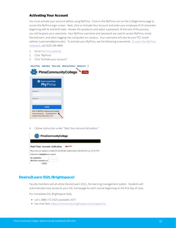# <span id="page-14-0"></span>**Activating Your Account**

You must activate your account before using MyPima. Click on the MyPima icon on the College home page to access the MyPima login screen. Next, click on Activate Your Account and enter your employee ID (9 characters beginning with A) and birth date. Answer the questions and select a password. At the end of the process, you will be given your username. Your MyPima username and password are used to access MyPima, email, Desire2Learn, and when logging into computers on-campus. Your username will also be your PCC email address (username@pima.edu). To activate your MyPima, see the following screenshots. [To reach the MyPima](https://pima.edu/student-resources/support-services/computing-resources/contact-us.html)  [Helpdesk](https://pima.edu/student-resources/support-services/computing-resources/contact-us.html), call (520) 206-4800.

- 1. Go to [the](https://www.pima.edu/faculty-staff/pimanews/) [Pima website](https://www.pima.edu/)
- 2. Click "MyPima"
- 3. Click "Activate your account."



4. Follow instruction under "Start Your Account Activation."



# **Desire2Learn (D2L/Brightspace)**

Faculty members will all utilize Desire2Learn (D2L), the learning management system. Students will automatically have access to your D2L homepage for each course beginning on the first day of class.

For immediate D2L Brightspace Help:

- call 1 (888) 772-0325 (available 24/7)
- live chat here: <https://community.brightspace.com/support/s/>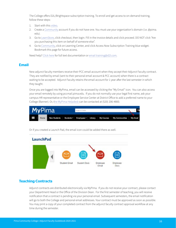<span id="page-15-0"></span>The College offers D2L/Brightspace subscription training. To enroll and get access to on-demand training, follow these steps:

- 1. Start with this [video](https://s3.us-east-2.amazonaws.com/prd-creativeservices-cdn/subscription_training/resources/subscription_training.mp4).
- 2. Create a [Community](https://www.pima.edu/faculty-staff/pimanews/) account if you do not have one. You must use your organization's domain (i.e. @pima. edu).
- 3. Go to [LearnStore](https://learnstore.brightspace.com/simple_order?catalogid=SubTraining&return=https%3A%2F%2Flearnstore.brightspace.com), click checkout, then login. Fill in the invoice details and click proceed. DO NOT click "Are you purchasing this item on behalf of someone else".
- 4. Go to [Community](https://community.brightspace.com/s/), click on Learning Center, and click Access Now Subscription Training blue widget. Bookmark this page for future access.

Need help? [Click here](https://s3.us-east-2.amazonaws.com/prd-creativeservices-cdn/subscription_training/resources/subscription_training.docx) for full text documentation or [email training@d2l.com.](mailto:training@d2l.com)

# **Email**

New adjunct faculty members receive their PCC email account when they accept their Adjunct Faculty contract. They are notified by email (sent to their personal email account & PCC account) when there is a contract waiting to be accepted. Adjunct Faculty retains the email account for 1 year after the last semester in which they taught.

Once you are logged into MyPima, email can be accessed by clicking the "My Email" icon. You can also access your email remotely by using pccmail.pima.edu. If you do not normally use your legal first name, ask your campus HR representative or the Employee Service Center at District Office to add a preferred name to your College (Banner). Or, [the MyPima Helpdesk c](https://www.pima.edu/faculty-staff/pimanews/)an be contacted at (520) 206-4800.



Or if you created a Launch Pad, the email icon could be added there as well.



# **Teaching Contracts**

Adjunct contracts are distributed electronically via MyPima. If you do not receive your contract, please contact your Department Head or the Office of the Division Dean. For the first semester of teaching, you will receive notification that a contract is pending via your personal email. Subsequent semesters, the email notification will go to both the College and personal email addresses. Your contract must be approved as soon as possible. You may print a copy of your completed contract from the adjunct faculty contract approval workflow at any time during the semester.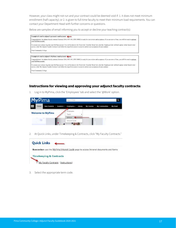However, your class might not run and your contract could be deemed void if: 1. it does not meet minimum enrollment (half capacity); or 2. is given to full-time faculty to meet their minimum load requirements. You can contact your Department Head with further concerns or questions.

Below are samples of email informing you to accept or decline your teaching contract(s):



# **Instructions for viewing and approving your adjunct faculty contracts:**

1. Log in to MyPima, click the 'Employees' tab and select the '@Work' option.



2. At Quick Links, under Timekeeping & Contracts, click "My Faculty Contracts."



3. Select the appropriate term code.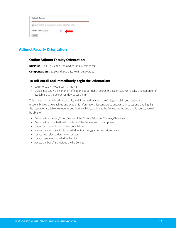<span id="page-17-0"></span>

| Select Term                               |                                                                     |
|-------------------------------------------|---------------------------------------------------------------------|
| D Seatt the Term for processing then pre- | SAM AN AMARAN (1997) 1998 AN AIR AN AIR AN AIR AN AIR AN AIR AN AIR |
| fieled a Termi ing 2000                   |                                                                     |
| <b>Service</b>                            |                                                                     |

# **Adjunct Faculty Orientation**

# **Online Adjunct Faculty Orientation**

**Duration:** 1 hour & 30 minutes (asynchronous, self-paced)

**Compensation:** \$37.50 and a certificate will be awarded

# **To self-enroll and immediately begin the Orientation:**

- Log into D2L > My Courses > Ongoing
- Or, log into D2L > click on the Waffle to the upper-right > search the list for Adjunct Faculty Orientation (or if available, use the search window to type it in).

This course will provide adjunct faculty with information about the College, explain your duties and responsibilities, give teaching and academic information, list contacts to answer your questions, and highlight the resources available to students and faculty while teaching at the College. At the end of this course, you will be able to:

- Describe the Mission, Vision, Values of the College & its core Themes/Objectives
- Describe the organizational structure of the College and its campuses
- Understand your duties and responsibilities
- Access the electronic tools provided for teaching, grading and attendance
- Locate and refer students to resources
- Locate resources provided for faculty
- Access the benefits provided by the College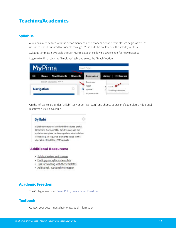# <span id="page-18-0"></span>**Teaching/Academics**

# **Syllabus**

A syllabus must be filed with the department chair and academic dean before classes begin, as well as uploaded and distributed to students through D2L so as to be available on the first day of class.

Syllabus template is available through MyPima. See the following screenshots for how to access:

Login to MyPima, click the "Employee" tab, and select the "Teach" option.



On the left pane side, under "Syllabi" look under "Fall 2021" and choose course prefix templates. Additional resources are also available.

| <b>Syllabi</b>                                  |  |
|-------------------------------------------------|--|
| Syllabus templates are listed by course prefix. |  |
| Beginning Spring 2016, faculty may use the      |  |
| syllabus template or develop their own syllabus |  |
| containing all required elements listed in the  |  |
| checklist. Read Dec. 2015 email)                |  |

# **Additional Resources:**

- · Syllabus review and storage
- · Finding your syllabus template
- · Tips for working with the templates
- · Additional / Optional information

# **Academic Freedom**

The College-developed [Board Policy on Academic Freedom](https://www.pima.edu/about-pima/leadership-policies/policies/board-policies/docs-bp-03/bp-3-02.pdf).

# **Textbook**

Contact your department chair for textbook information.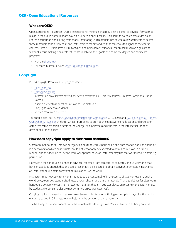# <span id="page-19-0"></span>**OER - Open Educational Resources**

## **What are OER?**

Open Educational Resources (OER) are educational materials that may be in a digital or physical format that reside in the public domain or are available under an open license. This permits no-cost access with no or limited distribution and editing restrictions. Integrating OER materials into courses allows students to access these materials at no or low cost, and instructors to modify and edit the materials to align with the course content. Pima's OER initiative is PimaGoOpen and helps remove financial roadblocks such as high cost of textbooks, thus making it easier for students to achieve their goals and complete degree and certificate programs.

- Visit the [slideshow](https://www.slideshare.net/oer_degree/improving-cc-access-success-atds-oer-degree-initiative).
- For more information, see [Open Educational Resources](https://www.pima.edu/academics-programs/pimaonline/faq.html).

# **Copyright**

PCC's Copyright Resources webpage contains:

- [Copyright FAQ](https://www.pima.edu/current-students/library/docs/copyright-faq.pdf)
- [Fair Use Checklist](https://www.pima.edu/current-students/library/docs/fair-use-checklist.pdf)
- Information on *resources that do not need permission* (i.e. Library resources, Creative Commons, Public Domain)
- A sample letter to request permission to use materials
- Copyright Notice to Students
- Related resources and tools

You should also look over [PCC's Copyright Practice and Compliance](https://pima.edu/about-pima/leadership-policies/policies/administrative-procedures/docs-ap-06/ap-6-05-01.pdf) (AP 6.05.01) and [PCC's Intellectual Property](https://pima.edu/about-pima/leadership-policies/policies/administrative-procedures/docs-ap-06/AP-6-06-01.pdf)  [Ownership \(AP 6.06.01\)](https://pima.edu/about-pima/leadership-policies/policies/administrative-procedures/docs-ap-06/AP-6-06-01.pdf), the latter whose "purpose is to provide the framework for allocation and protection of the respective ownership rights of the College, its employees and students in the Intellectual Property developed at the College."

# **How does copyright apply to classroom handouts?**

Classroom handouts fall into two categories: ones that require permission and ones that do not. If the handout is a new work for which an instructor could not reasonably be expected to obtain permission in a timely manner and the decision to use the work was spontaneous, an instructor may use that work without obtaining permission.

However, if the handout is planned in advance, repeated from semester to semester, or involves works that have existed long enough that one could reasonably be expected to obtain copyright permission in advance, an instructor must obtain copyright permission to use the work.

Instructors may not copy from works intended to be "consumable" in the course of study or teaching such as workbooks, exercises, standardized tests, answer sheets, and similar materials. These guidelines for classroom handouts also apply to copyright-protected materials that an instructor places on reserve in the library for use by students (i.e. consumables are not permitted on Course Reserves).

Copying shall not be used to create or to replace or substitute for anthologies, compilations, collective works, or course packs. PCC Bookstores can help with the creation of these materials.

The best way to provide students with these materials is through links. You can link from a library database: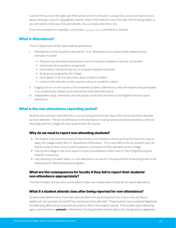<span id="page-20-0"></span>(use the PermaLink on the right side of the article) or link to the web. In using a link, you do not have to worry about creating a copy of a copyrighted material. (Note: if the material is ever removed, the link will go dead, so you will need to check your links periodically.) You can easily add links in D2L.

If you have questions on copyright, consult your [campus library](https://www.pima.edu/academics-programs/academic-support/library/contact-us.html) and talk to a Librarian.

# **What is Attendance?**

The U.S. Department of Education defines attendance:

- I. Attendance must be "academic attendance" or an "attendance at an academically-related activity." Examples included:
	- Physical class attendance where there is direct interaction between instructor and student
	- Submission of an academic assignment
	- **Examination, interactive tutorial, or computer-assisted instruction**
	- Study group assigned by the College
	- Participation in on-line discussion about academic matters
	- Contact with instructor to ask a question about an academic subject
- II. Logging into an on-line course is not considered academic attendance unless the student also participates in an academically-related course activity like those described above.
- III. Independent study, internships and self-paced courses that are financial aid eligible must also report attendance.

# **What is the non-attendance reporting period?**

Students who are not in attendance for a course during the first seven days of the course should be reported as never attended. The lack of attendance in the Attendance Tracking System will denote students as NA (not attending) and the College will drop students from the course.

# **Why do we need to report non-attending students?**

- The student may receive financial aid that he/she is not entitled to receive and he/she must find a way to repay the College and/or the U.S. Department of Education. This is very difficult for our students and can lead to a hold on their account which prevents continuation of their education at the College.
- Placing the College at risk could result in a loss of accreditation and/or loss of Title IV Eligibility to grant Federal Financial Aid.
- Late reporting of student status, i.e. non-attendance can result in the requirement of returning funds to the Federal and/or State financial aid programs.

# **What are the consequences for faculty if they fail to report their students' non-attendance appropriately?**

The Vice President of Instruction and Academic Deans are notified when faculty do not report attendance.

# **What if a student attends class after being reported for non-attendance?**

Students who attend one or more class periods within the reporting period (but may or may not attend additional class periods) should NOT be reported as never attended. These students are considered Registered Not Attending (RN) and will automatically place an RN on the student's record. If the student starts attending again, mark him/her as *present* in Attendance Tracking and then his/her status will change back to registered.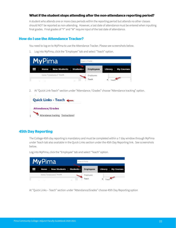# <span id="page-21-0"></span>**What if the student stops attending after the non-attendance reporting period?**

A student who attends one or more class periods within the reporting period but attends no other classes should NOT be reported as non-attending. However, a last date of attendance must be entered when inputting final grades. Final grades of "F" and "W" require input of the last date of attendance.

# **How do I use the Attendance Tracker?**

You need to log on to MyPima to use the Attendance Tracker. Please see screenshots below.

1. Log into MyPima, click the "Employee" tab and select "Teach" option.



2. At "Quick Link-Teach" section under "Attendance / Grades" choose "Attendance tracking" option.



# **45th Day Reporting**

The College 45th day reporting is mandatory and must be completed within a 7 day window through MyPima under Teach tab also available in the Quick Links section under the 45th Day Reporting link. See screenshots below.

Log into MyPima, click the "Employee" tab and select "Teach" option.

| <b>MyPima</b> |  |                              | Soarch Portal    |                     |                    |
|---------------|--|------------------------------|------------------|---------------------|--------------------|
|               |  | Home New Students Students - | <b>Employees</b> |                     | Library My Courses |
|               |  | Hame J. Emanyons J. Troch    | fimployees       |                     |                    |
|               |  |                              |                  | Teach <sup>-1</sup> |                    |

At "Quick Links – Teach" section under "Attendance/Grades" choose 45th Day Reporting option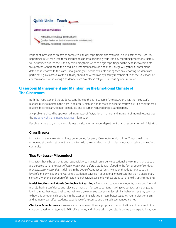<span id="page-22-0"></span>

45th Day Reporting (Instructions)

Important Instructions on how to complete 45th day reporting is also available in a link next to the 45th Day Reporting Link. Please read these instructions prior to beginning your 45th day reporting process. Instructors will be notified prior to the 45th day reminding them when to begin reporting and the deadline to complete this process. Adherence to this deadline is important as this is when the College will gather all enrollment data and is reported to the state. Final grading will not be available during 45th day reporting. Students not participating in classes as of the 45th day should be withdrawn by Faculty members at this time. Questions or concerns about withdrawing a student at 45th day please ask your Supervising Administrator.

# **Classroom Management and Maintaining the Emotional Climate of The Classroom**

Both the instructor and the students contribute to the atmosphere of the classroom. It is the instructor's responsibility to maintain the class in an orderly fashion and to make the course worthwhile. It is the student's responsibility to learn, to meet schedules, and to turn in required projects and papers.

Any problems should be approached in a matter-of-fact, rational manner and in a spirit of mutual respect. See the [Student Rights and Responsibilities](https://pima.edu/student-resources/student-policies-complaints/docs/Academic-Integrity-Code.pdf) information.

If problems persist, you may also discuss the situation with your department chair or supervising administrator.

#### **Class Breaks**

Instructors are to allow a ten-minute break period for every 100 minutes of class time. These breaks are scheduled at the discretion of the instructors with the consideration of student motivation, safety and subject continuity.

# **Tips For Lesser Misconduct**

Instructors have the authority and responsibility to maintain an orderly educational environment, and as such are expected to handle cases of *lesser misconduct* before a student is referred to the formal code of conduct process. *Lesser misconduct* is defined in the Code of Conduct as "any…violation that does not rise to the level of a major violation and warrants a student receiving an educational measure, rather than a disciplinary sanction." With the exception of threatening behavior, please follow these steps to handle disruptive students:

**Model Emotions and Moods Conducive To Learning –** By showing concern for students, being positive and friendly, having confidence and relaying enthusiasm for course content, making eye contact, using language low in threats that instead validates their worth, we can see students reflect similar behaviors, as they catch on to how this emotional disposition in the class setting helps us all learn better together. Your professionalism and humanity can affect students' experience of the course and their achievement outcomes.

**Clarity in Expectations –** Make sure your syllabus outlines appropriate communication and behavior in the classroom, assignments, emails, D2L, office hours, and phone calls. If you clearly define your expectations, you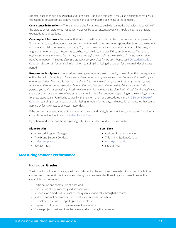<span id="page-23-0"></span>can refer back to the syllabus when disruptions arise. Don't skip this step! It may also be helpful to review your expectations for appropriate communication and behavior at the beginning of the semester.

**Consistency in Reactions –** There is no one-size-fits-all way to deal with disruptive behavior; the severity of the disruption will dictate your response. However, be as consistent as you can. Apply the same behavioral expectations to all students.

**Courtesy and Fairness –** Remember that most of the time, a student's disruptive behavior is not personal. When talking to a student about their behavior try to remain calm, and when appropriate listen to the student so they can explain themselves thoroughly. Try to remain objective and unemotional. Much of the time, an angry or emotional person just wants to be heard, and will calm down if they are listened to. *This does not apply to situations where you feel unsafe, feel as though other students are unsafe, or if the student is using abusive language. It is okay to dismiss a student from your class for the day. Please see* [PCC Student Code of](https://pima.edu/student-resources/student-policies-complaints/docs/Student-Code-of-Conduct.pdf)  [Conduct](https://pima.edu/student-resources/student-policies-complaints/docs/Student-Code-of-Conduct.pdf) , Section VII, for detailed information regarding dismissing the student for the remainder of a class period.

**Progressive Discipline –** In less serious cases, give students the opportunity to learn from the consequences of their behavior. *Example: you have a student who wants to argue when he doesn't agree with something you or another student has said. Rather than be drawn into arguing with him, you could start by giving a general*  reminder to the class to be respectful of what others say (use your syllabus to detail this out). If the student persists, you could say something directly to him or ask him to remain after class is dismissed. Detail exactly what *you expect, and give examples of respectful* communication. If it continues, depending on the severity, you can try these steps again. Familiarize yourself with the information and procedures in the [PCC Student Code of](https://www.pima.edu/faculty-staff/pimanews/)  [Conduct](https://www.pima.edu/faculty-staff/pimanews/) regarding lesser misconduct, dismissing a student for the day, and educational measures that can be applied by faculty in issues of lesser misconduct.

If the behavior is severe, affects other students' comfort and safety, is persistent and/or escalates, file a formal code of conduct incident report. [Incident Report Form](https://docs.google.com/forms/d/e/1FAIpQLSd81LRfiq1NsizyEqituJMhCAwASZ9Ayo_psq2qvSGNMv1M9g/viewform)

If you have additional questions regarding Title IX and student conduct, please contact:

#### **Diane Deskin**

- Advanced Program Manager
- Title IX and Student Conduct
- [sddeskin@pima.edu](mailto:sddeskin@pima.edu)
- 520-206-7120

#### **Staci Shea**

- Assistant Program Manager
- Title IX and Student Conduct
- [sshea1@pima.edu](mailto:sshea1@pima.edu)
- 520-206-7028

# **Measuring Student Performance**

#### **Individual Grades**

The instructor will determine a grade for each student at the end of each semester. A number of techniques can be used to arrive at this final grade and may combine several of these to gain an overall view of the capabilities of the student:

- Participation and completion of class work
- Completion of any work assigned as homework
- Response on scheduled or unscheduled quizzes periodically through the course
- Midterm and/or final examination to test accumulated information
- Special presentations or reports given to the class
- Preparation of papers on topics relevant to class work
- Course projects designed to reflect areas studied during the semester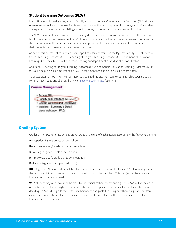# <span id="page-24-0"></span>**Student Learning Outcomes (SLOs)**

In addition to individual grades, Adjunct Faculty will also complete Course Learning Outcomes (CLO) at the end of every semester for each course. This is an assessment of the most important knowledge and skills students are expected to have upon completing a specific course, or courses within a program or discipline.

The SLO assessment process is based on a faculty-driven continuous improvement model. In this process, faculty members collect assessment data/information on specific outcomes, determine ways to improve on the achievement of those outcomes, implement improvements where necessary, and then continue to assess their students' performance on the assessed outcomes.

As part of this process, all faculty members report assessment results in the MyPima Faculty SLO Interface for Course Learning Outcomes (CLO). Reporting of Program Learning Outcomes (PLO) and General Education Learning Outcomes (GELO) will be determined by your department head/discipline coordinator.

Additional reporting of Program Learning Outcomes (PLO) and General Education Learning Outcomes (GELO) for your discipline will be determined by your department head and/or discipline coordinator.

To access eLumen, log in to MyPima. There, you can add the eLumen icon to your LaunchPad. Or, go to the MyPima Teach page and click on the link for [Faculty SLO Interface](https://pccassessment.elumenapp.com/) (eLumen):



# **Grading System**

Grades at Pima Community College are recorded at the end of each session according to the following system:

- **A**—Superior (4 grade points per credit hour)
- **B**—Above Average (3 grade points per credit hour)
- **C**—Average (2 grade points per credit hour)
- **D**—Below Average (1 grade points per credit hour)
- **F**—Failure (0 grade points per credit hour)

**RN**—Registered Non- Attending, will be placed in student's record automatically after 10 calendar days, when the Last date of Attendance has not been updated, not including holidays. This may jeopardize students' financial aid or veterans benefits.

**W**—A student may withdraw from the class by the Official Withdraw date and a grade of "W" will be recorded on the transcript. It is strongly recommended that students speak with a financial aid staff member before deciding if a "W" is the grade that best suits their needs and goals. Dropping or withdrawing a student from class could impact the student's future as it is important to consider how the decrease in credits will affect financial aid or scholarships.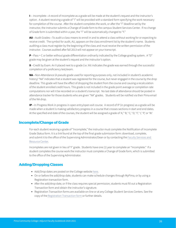<span id="page-25-0"></span>**I**— Incomplete—A record of Incomplete as a grade will be made at the student's request and the instructor's option. A student receiving a grade of "I" will be provided with a standard form specifying the work necessary for completion of the course. After the student completes the work, or after the "I" deadline set by the instructor, the instructor submits a Change of Grade form to the campus Student Services Center. If no change of Grade form is submitted within a year, the "I" will be automatically changed to "F."

**AU**—Audit Grades—To audit a class means to enroll in and to attend a class without working for or expecting to receive credit. The symbol for audit, AU, appears on the class enrollment list by the student's name. Students auditing a class must register by the beginning of the class and must receive the written permission of the instructor. Courses audited after fall 2013 will not appear on your transcript.

**P**—Pass = C or better without grade differentiation ordinarily indicated by the College grading system. A "D" grade may be given at the student's request and the instructor's option.

**X**—Credit by Exam. An X placed next to a grade (i.e. XA) indicates the grade was earned through the successful completion of a proficiency test/exam.

**NA**—Non-Attendance (A pseudo grade used for reporting purposes only, not included in student's academic history) "NA" indicates that a student was registered for the course, but never engaged in the course by the drop deadline. This grade will have the effect of dropping the student from the course and causing a recalculation of the student enrolled credit hours. This grade is not included in the grade point average or completion rate computations nor will it be recorded on a student's transcript. No last date of attendance should be posted in attendance tracker for those students who are given "NA" grades. Students will be notified via their Pima email of the NA drop.

**IP**—In Progress Work in progress in open entry/open exit course. A record of IP (in progress) as a grade will be made when a student is making satisfactory progress in a course that crosses sections in start and end dates. At the specified end date of the courses, the student will be assigned a grade of 'A," 'B,' 'C,' 'D,' 'F,' 'I,' 'P,' or 'W.'

# **Incomplete/Change of Grade**

For each student receiving a grade of "Incomplete," the instructor must complete the Notification of Incomplete Grade Status form. It is a link found at the top of the final grade submission form: download, complete, and submit it to the office of the Supervising Administrator/Dean or by contacting the [Faculty Services and](https://sites.google.com/pima.edu/facultyservices)  [Resource Center](https://sites.google.com/pima.edu/facultyservices).

Incompletes are not given in lieu of 'F' grade. Students have one (1) year to complete an "Incomplete." If a student completes the course work the instructor must complete a Change of Grade form, which is submitted to the office of the Supervising Administrator.

# **Adding/Dropping Classes**

- Add/Drop dates are posted on the College website [here](https://www.pima.edu/academics-programs/register-for-classes/drop-add-withdraw.html).
- On or before the add/drop date, students can make schedule changes through MyPima, or by using a Registration transaction form.
- After the add/drop date, or if the class requires special permission, students must fill out a Registration Transaction form and obtain the instructor's signature.
- Registration Transaction forms are available on-line or at any College Student Services Centers. See the copy of the [Registration Transaction form](https://pima.edu/academics-programs/register-for-classes/docs/registration-transaction-faculty-prerequisite-form.pdf) or further details.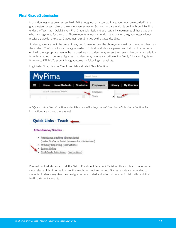# <span id="page-26-0"></span>**Final Grade Submission**

In addition to grades being accessible in D2L throughout your course, final grades must be recorded in the grade rosters for each class at the end of every semester. Grade rosters are available on-line through MyPima under the Teach tab > Quick Links > Final Grade Submission. Grade rosters include names of those students who have registered for the class. Those students whose names do not appear on the grade roster will not receive a grade for the class. Grades must be submitted by the stated deadline.

Student grades are not to be posted in any public manner, over the phone, over email, or to anyone other than the student. The instructor can only give grades to individual students in person and by inputting the grade online in the appropriate manner by the deadline (so students may access their results directly). Any deviation from this method of delivery of grades to students may involve a violation of the Family Education Rights and Privacy Act (FERPA). To submit final grades, see the following screenshots.

Log into MyPima, click the "Employee" tab and select "Teach" option.



At "Quick Links – Teach" section under Attendance/Grades, choose "Final Grade Submission" option. Full instructions are located there as well.



#### **Attendance/Grades**

- · Attendance tracking [Instructions] (prefer Firefox or Safari browsers for this function)
- . 45th Day Reporting [Instructions]
- Banner Online
- **Final Grade Submission [Instructions]**

Please do not ask students to call the District Enrollment Services & Registrar office to obtain course grades, since release of this information over the telephone is not authorized. Grades reports are not mailed to students. Students may view their final grades once posted and rolled into academic history through their MyPima student accounts.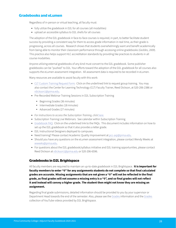# <span id="page-27-0"></span>**Gradebooks and eLumen**

Regardless of in-person or virtual teaching, all faculty must:

- fully utilize the gradebook in D2L for all courses (all modalities)
- upload an accessible syllabus to D2L shells for all courses

The adoption of the D2L gradebook in face-to-face courses is required, in part, to better facilitate student success by providing a consistent way for them to access grade information in real time, as their grade is progressing, across all courses. Research shows that students overwhelmingly want and benefit academically from being able to monitor their classroom performance through accessing online gradebooks (*Geddes, 2009*). This practice also helps support HLC accreditation standards by providing like practices to students in all course modalities.

Anyone utilizing external gradebooks of any kind must convert to the D2L gradebook. Some publisher gradebooks can be "pushed" to D2L. Your efforts toward the adoption of the D2L gradebook for all courses also supports the eLumen assessment integration. All assessment data is required to be recorded in eLumen.

Many resources are available to assist faculty with this work:

- [CLT Custom Training Request Form:](https://docs.google.com/forms/d/e/1FAIpQLSd8H361-VFjhtQFqECpDj4uYF0l9-vUqrN66syjC7f8fg_X5Q/viewform) Click on the underlined link to request group training. You may also contact the Center for Learning Technology (CLT) Faculty Trainer, Reed Dickson, at 520-206-2386 or [rdickson1@pima.edu.](mailto:rdickson1@pima.edu)
- Pre-Recorded Webinar Training Sessions in D2L Subscription Training
	- Beginning Grades (36 minutes)
	- **•** Intermediate Grades (18 minutes)
	- Advanced Grades (27 minutes)
- *For instructions to access the Subscription Training, click* [here](https://docs.google.com/document/d/1XQI2cc6J5zXZdv18WmoCjxb8i9qHryY6LYvc9cSDaA0/edit?usp=sharing)
- Subscription Training Live Webinars: See calendar within Subscription Training
- [Gradebook FAQ:](http://cc.pima.edu/~d2lfaculty/01brightspace-resources/grades-settings-faq.html) Click on the underlined link to the FAQs. This document includes information on how to set up the D2L gradebook so that it also provides a letter grade.
- D2L Instructional Designers deployed to campuses.
- Need training? Please contact Academic Quality Improvement at [pcc-aqi@pima.edu.](mailto:pcc-aqi@pima.edu)
- Should you have any questions on the eLumen assessment integration, please contact Wendy Weeks at [wweeks@pima.edu](mailto:wweeks@pima.edu).
- For questions about the D2L gradebook/syllabus initiative and D2L training opportunities, please contact Reed Dickson at [rdickson1@pima.edu](https://www.pima.edu/faculty-staff/pimanews/) or 520-206-6596.

#### **Gradebooks in D2L Brightspace**

All faculty members are required to maintain an up-to-date gradebook in D2L Brightspace. **It is important for faculty members to enter "0" for any assignments students do not complete so that final calculated grades are accurate. Missing assignments that are not given a "0" will not be reflected in the final grade, as final grades will not assume a missing entry is a "0", and so final grades will not reflect it and instead will convey a higher grade. The student then might not know they are missing an assignment.** 

Regarding final grade submissions, detailed information should be provided to you by your supervisor or Department Head towards the end of the semester. Also, please see the [Grades](https://documentation.brightspace.com/EN/semester_start/-/instructor/faq_grades.htm?tocpath=Getting%20Started%7CInstructor%20FAQ%7CGrades%7C_____0) information and the [Grades](https://www.youtube.com/watch?v=_3pckzsJeJ4&list=PLxHabmZzFY6leyLzxIqHyxTqSEKyVxzoN) collection of YouTube videos provided by D2L Brightspace.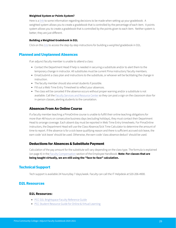#### <span id="page-28-0"></span>**Weighted System or Points System?**

Here is a [link](https://drive.google.com/open?id=1zG3m0I72VtWEBBgOFTfuddq-qYAB8Pyx) to some information regarding decisions to be made when setting up your gradebook. A weighted system allows you to create a gradebook that is controlled by the percentage of each item. A points system allows you to create a gradebook that is controlled by the points given to each item. Neither system is better; they are just different.

#### **Building a Weighted Gradebook in D2L**

Click on this [link](https://drive.google.com/open?id=1eXd86VB_aQo8mxnyhIFbzlSEqszG-1f3kfS3CRBIcDo) to access the step-by-step instructions for building a *weighted* gradebook in D2L.

# **Planned and Unplanned Absences**

If an adjunct faculty member is unable to attend a class:

- Contact the Department Head if help is needed in securing a substitute and/or to alert them to the temporary change in instructor. All substitutes must be current Pima instructors/ faculty members.
- Email/submit a class plan and instructions to the substitute, or whoever will be facilitating the change in instruction.
- The faculty member should also email students if possible.
- Fill out a Web Time Entry Timesheet to reflect your absences.
- The class will be canceled if the absence occurs without proper warning and/or a substitute is not available. Call the [Faculty Services and Resource Center](https://sites.google.com/pima.edu/facultyservices) so they can post a sign on the classroom door for in-person classes, alerting students to the cancelation.

# **Absences From An Online Course**

If a faculty member teaching a PimaOnline course is unable to fulfill their online teaching obligations for more than 48 hours on consecutive business days (excluding holidays), they must contact their Department Head to arrange coverage. Each absent day must be reported in Web Time Entry timesheets. For PimaOnline instructors, the Department Head will use the Class Absence/Sick Time Calculator to determine the amount of time to report. If the absence is for a sick leave qualifying reason and there is sufficient accrued sick leave, the earn code 'sick leave' should be used. Otherwise, the earn code 'class absence deduct' should be used.

# **Deductions for Absences & Substitute Payment**

Calculation of the pay amount for the substitute will vary depending on the class type. The formula is explained (on page 4) in th[e Faculty Compensation](https://www.pima.edu/faculty-staff/pimanews/) section of the Employee Handbook. **Note: For classes that are being taught virtually, we are still using the "face-to-face" calculation.**

# **Technical Support**

Tech support is available 24 hours/day 7 days/week. Faculty can call the IT Helpdesk at 520-206-4900.

# **D2L Resources**

#### **D2L Resources:**

- [PCC](https://meet.google.com/linkredirect?authuser=0&dest=https%3A%2F%2Fdocs.google.com%2Fdocument%2Fd%2F1F9YxCL9F6FyyjkKuQCHLx4QB1IB6Fd-fQMFaaBPjhYQ%2Fedit%3Fusp%3Dsharing) [D2L Brightspace Faculty](https://www.pima.edu/faculty-staff/pimanews/) Reference Guid[e](https://www.pima.edu/faculty-staff/pimanews/)
- [PCC Student Resource Guide for Online & Virtual Learning](https://docs.google.com/document/d/1EHzOOsyTJUdBFTob45lLvsWxIeHtoBn3Vc4d5e2ODgk/edit?usp=sharing)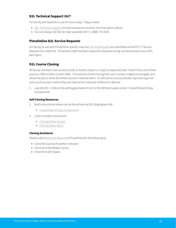# **D2L Technical Support 24/7**

For faculty and students to use 24 hours a day, 7 days a week:

- [D2L Technical Support,](https://community.brightspace.com/support/s/) includes assistance via email, live chat option, phone
- You can always call D2L for help (available 24/7): 1 (888) 772-0325

# **PimaOnline D2L Service Requests**

For faculty to use with PimaOnline-specific inquiries. [Service Requests](https://pima.teamdynamix.com/TDClient/1920/Portal/Home/) are submitted via the PCC IT Service Request link in MyPima. PimaOnline staff members respond to requests during normal business hours (M-F, 8am-5pm).

# **D2L Course Cloning**

All faculty members have access via D2L to Import, Export, or Copy Components (aka "clone") from one of their previous CRNs to their current CRNs. This practice of self-cloning their own courses is highly encouraged, as it allows faculty to clone the whole course or selected items. To self-clone a course, faculty may only copy into and out of courses in which they are listed as the Instructor of Record in Banner:

C. Log into D2L > click on the setting gear/wrench icon in the left hand upper corner > Import/Export/Copy Components.

#### **[Self-Cloning Resources](https://community.brightspace.com/support/s/article/000005887)**

- 1. [Brief instructional videos can be found here via D2L Brightspace link:](https://www.pima.edu/faculty-staff/pimanews/) 
	- [Import/Export/Copy Components](https://www.pima.edu/faculty-staff/pimanews/)
- 2. Links to written instructions:
	- [Cloning Whole Course](https://drive.google.com/file/d/1giyxQtNnRUTx6u_FQhfK5aIgMF-dSqLr/view?usp=sharing)
	- [Cloning Select Items](https://drive.google.com/file/d/1i9M-nOxbkcux9RXDsJ6L1vJk2ejXa7ad/view?usp=sharing)

#### **Cloning Assistance**

Please submit a [Service Request](https://www.pima.edu/faculty-staff/pimanews/) to PimaOnline for the following to:

- Clone the Course of another instructor
- Clone from the Master Course
- Clone from DEV Space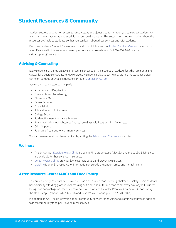# <span id="page-30-0"></span>**Student Resources & Community**

Student success depends on access to resources. As an adjunct faculty member, you can expect students to ask for academic advice as well as advice on personal problems. This section contains information about the resources available to students, so that you can learn about these services and refer students.

Each campus has a Student Development division which houses the [Student Services Center o](https://pima.edu/student-resources/advising/student-service-center-hours.html)r information area. Personnel in this area can answer questions and make referrals. Call 520-206-6408 or email virtualsupport@pima.edu.

# **Advising & Counseling**

Every student is assigned an advisor or counselor based on their course of study, unless they are not taking classes for a degree or certificate. However, every student is able to get help by visiting the student services center on campus or emailing questions through [Contact an Advisor.](https://www.pima.edu/student-resources/advising/contact-us.html)

Advisors and counselors can help with:

- Admission and Registration
- Transcripts and Transferring
- Choosing a Major
- Career Services
- Financial Aid
- Job and Internship Placement
- College Success
- Student Wellness Assistance Program
- Personal Challenges (Substance Abuse, Sexual Assault, Relationships, Anger, etc.)
- Crisis Support
- Referrals off campus for community services

You can learn more about these services by visiting the [Advising and Counseling](https://www.pima.edu/student-resources/advising/index) website.

# **Wellness**

- The on-campus [Eastside Health Clinic](https://pima.edu/student-resources/support-services/health-wellness-safety/east-side-health-clinic.html) is open to Pima students, staff, faculty, and the public. Sliding fees are available for those without insurance.
- [Dental Hygiene Clinic](https://pima.edu/student-resources/support-services/health-wellness-safety/dental-clinic.html) provides low-cost therapeutic and preventive services.
- [ULifeline](http://www.ulifeline.org/main/Home.html) is an online resource for information on suicide prevention, drugs and mental health.

# **Aztec Resource Center (ARC) and Food Pantry**

To learn effectively, students must have their basic needs met: food, clothing, shelter and safety. Some students have difficulty affording groceries or accessing sufficient and nutritious food to eat every day. Any PCC student facing food and/or hygiene insecurity can come to, or contact, the Aztec Resource Center (ARC) Food Pantry at the West Campus (phone: 520-206-6630) and Desert Vista Campus (phone: 520-206-5025).

In addition, the ARC has information about community services for housing and clothing resources in addition to local community food pantries and meal services.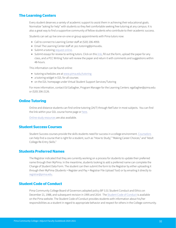# <span id="page-31-0"></span>**The Learning Centers**

Every student deserves a variety of academic support to assist them in achieving their educational goals. Normalize "asking for help" with students so they feel comfortable seeking free tutoring at any campus. It is also a great way to find a supportive community of fellow students who contribute to their academic success.

Students can set up live one-on-one or group appointments with Pima tutors now:

- Call to connect to Learning Center staff at (520) 206-4959.
- Email The Learning Center staff at: pcc-tutoring@pima.edu.
- Submit a tutoring [request online](https://tinyurl.com/PCCtutoring).
- Submit essays for review to writing tutors. Click on this [link](https://forms.gle/87cGfQiARuZMu6GW8), fill out the form, upload the paper for any class, and a PCC Writing Tutor will review the paper and return it with comments and suggestions within 48-hours.

This information can be found online:

- tutoring schedules are at [www.pima.edu/tutoring](http://www.pima.edu/tutoring)
- a tutoring widget in D2L for all courses
- on the D2L homepage under Virtual Student Support Services/Tutoring

For more information, contact Ed Gallagher, Program Manager for the Learning Centers: egallagher@pima.edu or (520) 206-2126.

# **Online Tutoring**

Online and distance students can find online tutoring (24/7) through NetTutor in most subjects. You can find the link within your D2L course home page or [here.](https://sites.google.com/pima.edu/d2ltutoringservices)

[Online study resources](https://pima.edu/academics-programs/academic-support/tutoring/online-tutoring-resources.html) are also available.

#### **Student Success Courses**

Student Success courses provide the skills students need for success in a college environment. [Counselors](https://pima.edu/student-resources/counseling/contact-us.html) can help find a course that is right for a student, such as "How to Study," "Making Career Choices," and "Adult College Re-Entry Skills."

### **Students Preferred Names**

The Registrar indicated that they are currently working on a process for students to update their preferred name through their MyPima. In the meantime, students looking to add a preferred name can complete the Change of Student Data Form. The student can then submit the form to the Registrar by either uploading it through their MyPima (Students > Register and Pay > Registrar File Upload Tool) or by emailing it directly to [registrar@pima.edu](mailto:registrar@pima.edu).

# **Student Code of Conduct**

Pima Community College Board of Governors adopted policy BP 3.31 Student Conduct and Ethics on December 21, 1988, and subsequent revision in 1995 and 2014. The [Student Code of Conduct](https://www.pima.edu/current-students/code-of-conduct/index.html) is available on the Pima website. The Student Code of Conduct provides students with information about his/her responsibilities as a student in regard to appropriate behavior and respect for others in the College community.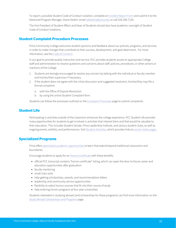<span id="page-32-0"></span>To report a possible Student Code of Conduct violation, complete an [Incident Report Form](http://www.pima.edu/current-students/code-of-conduct/docs/code-of-conduct-incident-report.docx) and submit it to the Advanced Program Manager, Diane Deskin: email [sddeskin@pima.edu](https://www.pima.edu/faculty-staff/pimanews/) or call 520-206-7120.

The Vice President of Student Affairs and Dean of Students should also have academic oversight of Student Code of Conduct violations.

# **Student Complaint Procedure Processes**

Pima Community College welcomes student opinions and feedback about our policies, programs, and services in order to make changes that contribute to their success, development, and goal attainment. For more information, see the [Code of Conduct](https://www.pima.edu/student-resources/student-policies-complaints/docs/Student-Code-of-Conduct.pdf).

In our goal to provide quality instruction and service, PCC provides students access to appropriate College staff and administration to resolve questions and concerns about staff, policies, procedures, or other actions or inactions of the College.

- 1. Students are strongly encouraged to resolve any concern by talking with the individual or faculty member and his/her/their supervisor if necessary.
- 2. If the student does not agree with the initial discussion and suggested resolution, he/she/they may file a formal complaint:
	- a. with the Office of Dispute Resolution
	- b. by using the online Student Complaint form

Students can follow the processes outlined on the [Complaint Process](https://www.pima.edu/student-resources/student-policies-complaints/complaint-processes/index.html)[es](https://www.pima.edu/faculty-staff/pimanews/) page to submit complaints.

# **Student Life**

Participating in activities outside of the classroom enhances the college experience. PCC Student Life provides many opportunities for students to get involved in activities that interest them and that would be valuable to their education. This includes Student Senate, Pima Leadership Institute, and various student clubs, as well as ongoing events, exhibits, and performances. Visit [Student Activities](https://www.instagram.com/pimastudentlife/), which provides links to [social media pages.](https://www.pima.edu/faculty-staff/pimanews/)

# **Specialized Programs**

Pima offers [specialized academic opportunities](https://pima.edu/academics-programs/specialized-programs/index.html) to learn that extend beyond traditional classrooms and boundaries.

Encourage students to apply for an [Honors Certificate](https://pima.edu/academics-programs/specialized-programs/honors-program/honors-contact-us.html) with these benefits:

- official PCC transcript contains "honors certificate" listing, which can open the door to future career and education opportunities after graduation
- faculty mentoring
- small class sizes
- help getting scholarships, awards, and recommendation letters
- leadership and community service opportunities
- flexibility to select honors courses that fit into their course of study
- help entering honors programs at four-year universities

Students interested in studying abroad (and scholarships for these programs) can find more information on the [Study Abroad Scholarships and Programs](https://pima.edu/academics-programs/specialized-programs/study-abroad/index.html) page.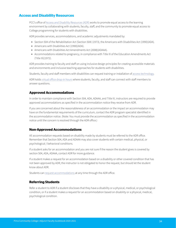# <span id="page-33-0"></span>**Access and Disability Resources**

PCC's office of [Access and Disability Resources \(ADR\) w](https://pima.edu/student-resources/adr/index)orks to promote equal access to the learning environment by collaborating with students, faculty, staff, and the community to promote equal access to College programming for students with disabilities.

ADR provides services, accommodations, and academic adjustments mandated by:

- Section 504 of the Rehabilitation Act (Section 504) (1973), the Americans with Disabilities Act (1990)(ADA).
- Americans with Disabilities Act (1990)(ADA).
- Americans with Disabilities Act Amendments Act (2008)(ADAAA).
- Accommodations related to pregnancy, in compliance with Title IX of the Education Amendments Act (Title IX)(1972).

ADR provides training to faculty and staff on using inclusive design principles for creating accessible materials and environments and inclusive teaching approaches for students with disabilities.

Students, faculty and staff members with disabilities can request training or installation of [access technology](https://www.pima.edu/student-resources/adr/access-technology.html).

ADR holds [virtual office drop-in hours](https://www.pima.edu/student-resources/adr/virtual-office-hours.html) where students, faculty, and staff can connect with staff members to answer questions.

#### **Approved Accommodations**

In order to maintain compliance with Section 504, ADA, ADAAA, and Title IX, instructors are required to provide approved accommodations as specified in the accommodation notice they receive from ADR.

If you are concerned about the reasonableness of an accommodation or the impact an accommodation may have on the fundamental requirements of the curriculum, contact the ADR program specialist identified in the accommodation notice. (Note: You must provide the accommodation as specified in the accommodation notice until the concern is resolved through the ADR office.)

# **Non-Approved Accommodations**

All accommodation requests based on disability made by students must be referred to the ADR office. Remember that Section 504, ADA and ADAAA may also cover students with certain medical, physical, or psychological / behavioral conditions.

If a student asks for an accommodation and you are not sure if the reason the student gives is covered by section 504, ADA, ADAAA, contact ADR for more guidance.

If a student makes a request for an accommodation based on a disability or other covered condition that has not been approved by ADR, the instructor is not obligated to honor the request, but should let the student know about ADR.

Students can [request accommodations](https://denali.accessiblelearning.com/PIMA/) at any time through the ADR office.

## **Referring Students**

Refer a student to ADR if a student discloses that they have a disability or a physical, medical, or psychological condition, or if a student makes a request for an accommodation based on disability or a physical, medical, psychological condition.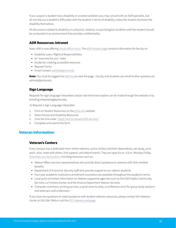<span id="page-34-0"></span>If you suspect a student has a disability or covered condition you may consult with an ADR specialist, but do not discuss a student's difficulties with the student in terms of disability unless the student discloses the disability themselves.

All discussions related to disability or a physical, medical, or psychological condition with the student should be conducted in an environment that provides confidentiality.

# **ADR Resources: Intranet**

Note: ADR is now offering [virtual office hours](https://www.pima.edu/faculty-staff/pimanews/). The [ADR Intranet](https://mypima.pima.edu/group/mycampus/employees/intranet-guide/intranet?page=%2Fintranet%2Facadsvcs%2Fdsr%2Findex.shtml) [page](https://www.pima.edu/faculty-staff/pimanews/) contains information for faculty on:

- Disability Laws / Rights & Responsibilities
- An "overview for you" video
- Guides for creating accessible resources
- Request Forms
- Email Contact: [adrhelp@pima.edu](mailto:adrhelp@pima.edu)

**Note:** You must be logged into [MyPima](https://mypima.pima.edu/) to view the page. Faculty and students can email further questions to adrhelp@pima.edu.

# **Sign Language**

Requests for sign language interpreters and/or real time transcription can be made through the website or by emailing interpreting@pima.edu.

To Request a Sign Language Interpreter:

- 1. Click on Student Resources on the [pima.edu](https://www.pima.edu/index) website
- 2. Select Access and Disability Resources
- 3. Click the link under ["Apply here to request ADR services"](https://www.pima.edu/faculty-staff/pimanews/)
- 4. Complete and submit the form.

# **Veteran Information**

# **Veteran's Centers**

Every campus has a dedicated room where veterans, active military and their dependents, can study, print work, relax, meet with others, find support, and attend events. They are open 8 a.m.-5 p.m. Monday-Friday. [Amenities vary by location](https://www.pima.edu/student-resources/support-services/veterans-centers/index.html), including resources such as:

- Veteran Affairs services representatives who provide direct assistance to veterans with their entitled benefits
- Department of Economic Security staff who provide support to our veteran students.
- Four-year academic institutions enrollment counselors are available throughout the academic terms.
- Local point of contact information on Veteran supportive agencies such as the Old Pueblo Community Services, La Frontera Center, and the Arizona Department Veteran Services.
- Computer commons, printing services, a quiet room to relax, a conference room for group study sessions and webinars, and a television.

If you have any questions or need assistance with student veterans resources, please contact the Veterans Center at 520-206-7049 or visit the [PCC Veterans](https://www.pima.edu/paying-for-college/veterans-benefits/contact-us.html) [webpage.](https://www.pima.edu/faculty-staff/pimanews/)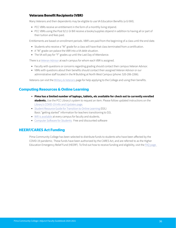# <span id="page-35-0"></span>**Veterans Benefit Recipients (VBR)**

Many Veterans and their dependents may be eligible to use VA Education Benefits (a GI Bill).

- PCC VBRs receive an entitlement in the form of a monthly living stipend.
- PCC VBRs using the Post 9/11 GI Bill receive a books/supplies stipend in addition to having all or part of their tuition and fees paid.

Entitlements are based on enrollment periods. VBR's are paid from the beginning of a class until the end date.

- Students who receive a "W" grade for a class will have that class terminated from a certification.
- A "W" grade can palace the VBR into a VA debt situation.
- The VA will pay for "F" grades up until the Last Day of Attendance.

There is a [Veteran Advisor](https://pima.edu/paying-for-college/veterans-benefits/contact-us.html) at each campus for whom each VBR is assigned.

- Faculty with questions or concerns regarding grading should contact their campus Veteran Advisor.
- VBRs with questions about their benefits should contact their assigned Veteran Advisor or our administrative staff located in the M Building at North West Campus (phone: 520-206-2266).

Veterans can visit the [Military & Veterans](https://pima.edu/admission/apply-to-pima/military-veterans.html) page for help applying to the College and using their benefits.

# **Computing Resources & Online Learning**

- **Pima has a limited number of laptops, tablets, etc available for check out to currently enrolled students.** Use the PCC Library's system to request an item. Please follow updated instructions on the [Library's COVID-19 Info and Updates page](https://libguides.pima.edu/c.php?g=1012440&p=7632993).
- [Student Resource Guide for Transition to Online Learning](https://docs.google.com/document/d/1EHzOOsyTJUdBFTob45lLvsWxIeHtoBn3Vc4d5e2ODgk/edit) (D2L) Basic "getting started" information for teachers transitioning to D2L
- [Wifi is available](https://www.pima.edu/student-resources/support-services/computing-resources/wifi.html) at every campus for faculty and students.
- [Computer Software for Students](https://www.pima.edu/student-resources/support-services/computing-resources/software-purchase.html): Free and discounted software

# **HEERF/CARES Act Funding**

Pima Community College has been selected to distribute funds to students who have been affected by the COVID-19 pandemic. These funds have been authorized by the CARES Act, and are referred to as the Higher Education Emergency Relief Fund (HEERF). To find out how to receive funding and eligibility, visit the [FAQ page](https://www.pima.edu/faculty-staff/pimanews/)[.](https://www.pima.edu/news/coronavirus/cares.html)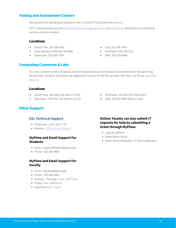# <span id="page-36-0"></span>**Testing and Assessment Centers**

We currently are operating all testing services. Proctored Testing Services are [here.](https://pima.edu/academics-programs/academic-support/testing-centers/index.html)

PCC's Testing Centers provide [placement testing](https://pima.edu/admission/placement-testing/index.html), [challenge exams](https://pima.edu/academics-programs/academic-support/testing-centers/challenge-exams.html), and [other tests](https://pima.edu/academics-programs/academic-support/testing-centers/additional-tests.html). Remote/proctored testing services are also available.

# **Locations**

- Desert Vista 520-206-5045
- Davis-Monthan AFB 520-206-4866
- Downtown 520-206-7254
- East 520-206-7874
- Northwest 520-206-2212
- West 520-206-6648

# **Computing Commons & Labs**

PCC has a limited number of laptops and/or hotspots that can be checked out to students for the upcoming fall semester. Students will need to be registered in classes for the fall semester, then they can fill out a Student [Request.](https://www.pima.edu/faculty-staff/pimanews/)

# **Locations**

- Desert Vista 520-206-5160 (Room F 203)
- Downtown 520-206-7311 (Room LB 155)

# **Other Support**

# **[D2L Technical Support](http://cc.pima.edu/~d2lfaculty/index.html)**

- Telephone: 1-877-325-7778
- Website: [D2L End User Support](https://www.pima.edu/faculty-staff/pimanews/)

# **MyPima and Email Support For Students**

- Email: mypimahelpdesk@pima.edu
- Phone: 520-206-4800

# **MyPima and Email Support For Faculty**

- Email: helpdesk@pima.edu
- Phone: 520-206-4900
- Monday Thursday, 7 a.m. until 7 p.m.
- Friday 7 a.m. until 5 p.m.
- Saturday 8 a.m. 2 p.m.
- Northwest 520-206-2127 (Room B2)
- West 520-206-6042 (Room C 202)

# **Online: Faculty can also submit IT requests for help by submitting a ticket through MyPima:**

- Log into MyPima
- Select Work / Work
- Select Service Requests / IT Service Requests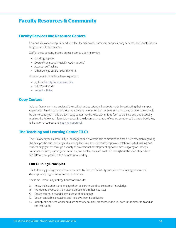# <span id="page-37-0"></span>**Faculty Resources & Community**

# **Faculty Services and Resource Centers**

Campus sites offer computers, adjunct faculty mailboxes, classroom supplies, copy services, and usually have a fridge or small kitchen area.

Staff at these centers, located on each campus, can help with:

- D2L/Brightspace
- Google Workspace (Meet, Drive, G-mail, etc.)
- Attendance Tracking
- Other College assistance and referral

Please contact them if you have a question:

- visit the [Faculty Services Web Site](https://sites.google.com/pima.edu/facultyservices)
- call 520-206-6511
- [submit a Ticket.](https://service.pima.edu/TDClient/1920/Portal/Requests/ServiceCatalog?CategoryID=16093)

# **Copy Centers**

Adjunct faculty can have copies of their syllabi and substantial handouts made by contacting their campus copy center. Email or drop off documents with the required form at least 48 hours ahead of when they should be delivered to your mailbox. Each copy center may have its own unique form to be filled out, but it usually requires the following information: pages in the document, number of copies, whether to be stapled/collated, full citation of sources an[d copyright approval](https://www.pima.edu/academics-programs/academic-support/library/copyright.html).

# **The Teaching and Learning Center (TLC)**

The TLC offers you a community of colleagues and professionals committed to data-driven research regarding the best practices in teaching and learning. We strive to enrich and deepen our relationship to teaching and student engagement through a variety of professional development opportunities. Ongoing workshops, webinars, lectures, learning communities, and conferences are available throughout the year. Stipends of \$25.00/hour are provided to Adjuncts for attending.

#### **Our Guiding Principles**

The following guiding principles were created by the TLC for faculty and when developing professional development programming and opportunities.

The Pima Community College Educator strives to:

- A. Know their students and engage them as partners and co-creators of knowledge;
- B. Promote relevance of the materials presented in their courses;
- C. Create community and foster a sense of belonging;
- D. Design equitable, engaging, and inclusive learning activities;
- E. Identify and correct racist and discriminatory policies, practices, curricula, both in the classroom and at the institution;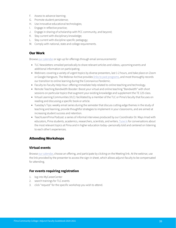- F. Assess to advance learning;
- G. Promote student persistence;
- H. Use innovative educational technologies;
- I. Engage in reflective practice;
- J. Engage in sharing of scholarship with PCC community, and beyond;
- K. Stay current with disciplinary knowledge;
- L. Stay current with discipline-specific pedagogy;
- M. Comply with national, state and college requirements.

## **Our Work**

Browse [our calendar](https://www.pima.edu/faculty-staff/pimanews/) or sign up for offerings through email announcements!

- TLC Newsletters: emailed periodically to share relevant articles and videos, upcoming events and additional information on participating.
- Webinars: covering a variety of urgent topics by diverse presenters, last 1-2 hours, and take place on Zoom or Google Hangouts. The Webinar Archive provides [links to past programs](https://docs.google.com/document/d/1Kg0tkpIKRfk_5HVy4Zg8isx6257Gq3S6gL-3SvGM2Z0/edit?ts=5eb4a116), and most thoroughly records our transition to online learning during the Coronavirus Pandemic.
- Faculty-to-Faculty Help Hour: offering immediate help related to online teaching and technology.
- Remote Teaching Bandwidth Booster: Boost your virtual and online teaching "Bandwidth" with short sessions on particular topics that augment your existing knowledge and supplement the TE 125 class.
- Virtual Learning Communities (VLC): facilitated by a member of the TLC or Pima's faculty that focuses on reading and discussing a specific book or article.
- Tuesday's Tips: weekly email series during the semester that discuss cutting-edge themes in the study of teaching and learning, provide thoughtful strategies to implement in your classrooms, and are aimed at increasing student success and retention.
- TeachLearnPima Podcast: a series of informal interviews produced by our Coordinator Dr. Mays Imad with educators, Pima students, academics, researchers, scientists, and writers. [Tune in](https://soundcloud.com/maysimad/sets/teachlearnpima) for conversations about the most relevant topics at Pima and in higher education today--personally told and centered on listening to each other's experiences.

# **Attending Workshops**

# **Virtual events**

Browse [our calendar](https://www.pima.edu/faculty-staff/pimanews/), choose an offering, and participate by clicking on the Meeting link. At the webinar, use the link provided by the presenter to access the sign-in sheet, which allows adjunct faculty to be compensated for attending.

# **For events requiring registration**

- 1. log into MyCareerCenter
- 2. search trainings for TLC events
- 3. click "request" for the specific workshop you wish to attend.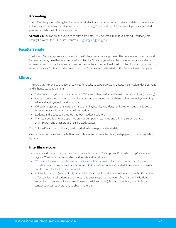# <span id="page-39-0"></span>**Presenting**

The TLC is always considering faculty presenters to facilitate webinars on various topics related to excellence in teaching and learning that align with th[e TLC's Guiding Principles for PCC Educators](https://docs.google.com/document/d/1AQNYYLDMSPB0sHWEjSDTV3wai7MNlzwYxz1e2VH8Auw/edit?usp=sharing). If you are interested, please complete the following [google form](https://forms.gle/snM1WEv8S5YDUBuB9).

**Contact us!** You can email questions to our Coordinator Dr. Mays Imad: mimad@ pima.edu. Your Adjunct Faculty Fellow for the TLC is Lisa Schumaier: [lschumaier@pima.edu.](mailto:lschumaier@pima.edu)

# **Faculty Senate**

The Faculty Senate represents all faculty in the College's governance process. The Senate meets monthly and its members may be either full-time or adjunct faculty. One at-large adjunct faculty representative is elected from each campus for a two-year term and serves on the subcommittee for adjunct faculty affairs. Your campus representative is Dr. Sean HV Mendoza (smendoza@pima.edu) and is listed on the [Faculty Senate Webpage](https://pima.edu/faculty-staff/employee-organizations/faculty-senate/index.html).

# **Library**

The [PCC Library](https://www.pima.edu/academics-programs/academic-support/library/) provides a variety of services for faculty to support research, assist in curriculum development, and enhance student learning:

- Collections of physical books, magazines, DVD's and other media (available for curbside pickup/ delivery).
- Access to online information sources including full-text periodical databases, reference tools, streaming video and audio, ebooks and ejournals.
- ADR technology, such as smartpens, large print keyboards, recorders, spell checkers, and braille books. (Please contact a librarian for more information.)
- Students and faculty can checkout laptops, ipads, calculators,
- When campus libraries are open, we provide computers, scanning and printing, study rooms with SmartBoards, and other group and solo study spaces.

Your College ID card is your Library card, needed to borrow physical materials.

Online Collections are available both on and off-campus through the library web pages and the library tab in MyPima.

# **Interlibrary Loan**

- Faculty and students can request items located at other PCC campuses. (Curbside pickup/delivery will begin at West Campus only and expand as safe staffing allows.)
- PCC faculty have reciprocal borrowing privileges at the University of Arizona Libraries. Faculty should provide a copy of their current faculty contract to the UA library circulation desk to receive a borrower's card for free. [Check with UA for more info](https://new.library.arizona.edu/borrow/apply).
- An Interlibrary Loan Service (ILL) is provided to obtain books and articles not available in the Pima, UofA or Tucson library collections. (ILL services have been suspended at many of our partner institutions. Hopefully, ILL services will resume online over the fall semester.) See the [InterLibrary Loan Policy](https://pima.edu/academics-programs/academic-support/library/docs/Interlibrary-Loan-Policy.pdf) and contact your campus librarians to obtain materials.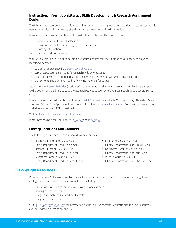# <span id="page-40-0"></span>**Instruction, Information Literacy Skills Development & Research Assignment Design**

The Library has a comprehensive information literacy program designed to assist students in learning the skills needed for critical thinking and to effectively find, evaluate, and utilize information.

Make an appointment with a librarian to meet with your class and lead sessions on:

- Research topic and keyword selection
- Finding books, articles, data, images, web resources, etc.
- Evaluating information
- Copyright, citation, plagiarism

Work with a librarian to find or to develop customized course materials unique to your academic student learning outcomes:

- Subject or course specific [Library Research Guides](https://libguides.pima.edu/?b=s)
- Screencasts/ tutorials on specific research skills or knowledge
- Pedagogically rich, scaffolded research assignments designed to work with local collections
- OER content, supplemental reading/ viewing materials for courses

Search here for [Research Guides](https://pima.edu/academics-programs/academic-support/library/index.html) (LibGuides) that are already available. You can also go to MyPima and scroll to the bottom of the Library page to the Research Guides section where you can search by subject area or by class.

Immediately connect with a librarian through [the LibChat feature,](https://www.pima.edu/faculty-staff/pimanews/) available Monday through Thursday, 9am-5pm, and Friday 10am-2pm. After hours, contact librarians through [Ask A Librarian](https://libanswers.pima.edu/form.php?queue_id=2485). Both features can also be added to any course in D2L as a widget.

Visit our [Faculty Resources Library Homepage.](https://www.pima.edu/faculty-staff/pimanews/)

Pima librarians post regular updates to [Twitter](https://twitter.com/pima_cclibrary) and [Instagram.](https://www.instagram.com/pimacommunitycollegelibrary/?hl=en)

# **Library Locations and Contacts**

The following phone numbers correspond to each campus:

- Desert Vista Campus: 520-206-5095 Library Department Head, Sol Gomez
- Distance Education: 520-206-2384 Library Department Head, Keith Rocci
- Downtown Campus: 520-206-7267 Library Department Head, Theresa Stanley
- East Campus: 520-206-7693 Library Department Head, Chuck Becker
- Northwest Campus: 520-206-2250 Library Department Head, Kris Swank
- West Campus: 520-206-6821 Library Department Head, Chris Schipper

# **Copyright Resources**

Pima Community College requires faculty, staff and administrators to comply with federal copyright law. College procedures cover a wide range of topics including:

- Requirements related to multiple copies made for classroom use
- Creating course packets
- Using "consumables" (i.e. workbooks, tests)
- Using online resources

Visit [PCC's Copyright Resources](https://www.pima.edu/faculty-staff/pimanews/) for information on the Fair Use doctrine, requesting permission, resources available without permission, and FAQs.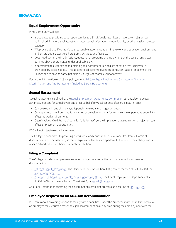<span id="page-41-0"></span>

# **Equal Employment Opportunity**

Pima Community College:

- Is dedicated to providing equal opportunities to all individuals regardless of race, color, religion, sex, national origin, age, disability, veteran status, sexual orientation, gender identity or other legally protected category.
- Will provide all qualified individuals reasonable accommodations in the work and education environment, and ensure equal access to all programs, activities and facilities.
- Does not discriminate in admissions, educational programs, or employment on the basis of any factor outlined above or prohibited under applicable law.
- Is committed to creating and maintaining an environment free of discrimination that is unlawful or prohibited by college policy. This applies to college employees, students, contractors, or agents of the College and to anyone participating in a College-sponsored event or activity.

For further information on College policy, refer to [BP 5.10: Equal Employment Opportunity, ADA, Non-](https://www.pima.edu/about-pima/leadership-policies/policies/board-policies/docs-bp-05/BP-5-10.pdf)[Discrimination and Anti-Harassment \(including Sexual Harassment\)](https://www.pima.edu/about-pima/leadership-policies/policies/board-policies/docs-bp-05/BP-5-10.pdf)

# **Sexual Harassment**

Sexual harassment is defined by the [Equal Employment Opportunity Commission](https://www.eeoc.gov/harassment) as "unwelcome sexual advances, requests for sexual favors and other verbal of physical conduct of a sexual nature" and;

- Can be sexual in one of two ways: It pertains to sexuality or is gender based.
- Creates a hostile environment: Is unwanted or unwelcome behavior and is severe or pervasive enough to affect the work environment.
- Often involves "Quid Pro Quo", Latin for "this for that" i/e. the implication that submission or rejection can affect employment opportunities.

PCC will not tolerate sexual harassment.

The College is committed to providing a workplace and educational environment free from all forms of discrimination and harassment, so that everyone can feel safe and perform to the best of their ability, and is respected and valued for their individual contribution.

# **Filing a Complaint**

The College provides multiple avenues for reporting concerns or filing a complaint of harassment or discrimination:

- [Office of Dispute Resolution](https://www.pima.edu/administration/dispute-resolution/index.html)**:** The Office of Dispute Resolution (ODR) can be reached at 520-206-4686 or [resolution@pima.edu](mailto:resolution@pima.edu).
- [Affirmative Action & Equal Employment Opportunity Office](https://www.pima.edu/administration/human-resources/aa-eeo-ada/aa-eeo.html)**:** The Equal Employment Opportunity office (EEO/ADA/AA) can be reached at 520-206-4686, or [eeo-all@pima.edu.](mailto:ee0-all@pima.edu)

Additional information regarding the discrimination complaint process can be found at [SPG 1501/AA.](https://pima.edu/about-pima/leadership-policies/policies/administrative-procedures/docs-ap-05/ap-5-10-03.pdf)

# **Employee Request for an ADA Job Accommodation**

PCC cares about providing support to faculty with disabilities. Under the Americans with Disabilities Act (ADA) an employee may request a reasonable job accommodation at any time during their employment with the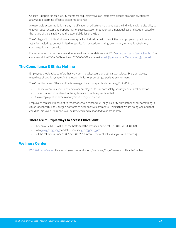<span id="page-42-0"></span>College. Support for each faculty member's request involves an interactive discussion and individualized analysis to determine effective accommodation(s).

A reasonable accommodation is any modification or adjustment that enables the individual with a disability to enjoy an equal access and opportunity for success. Accommodations are individualized and flexible, based on the nature of the disability and the essential duties of the job.

The College will not discriminate against qualified individuals with disabilities in employment practices and activities, including, but not limited to, application procedures, hiring, promotion, termination, training, compensation and benefits.

For information on the process and to request accommodations, visit PCC's [Americans with Disabilities Act](https://www.pima.edu/administration/human-resources/aa-eeo-ada/ada.html). You can also call the EEO/ADA/AA office at 520-206-4539 and email [eo-all@pima.edu](https://www.pima.edu/faculty-staff/pimanews/) or [504-adahelp@pima.edu](https://www.pima.edu/faculty-staff/pimanews/).

# **The Compliance & Ethics Hotline**

Employees should take comfort that we work in a safe, secure and ethical workplace. Every employee, regardless of position, shares in the responsibility for promoting a positive environment.

The Compliance and Ethics hotline is managed by an independent company, EthicsPoint, to:

- Enhance communication and empower employees to promote safety, security and ethical behavior.
- Ensure that reports entered in the system are completely confidential.
- Allow employees to remain anonymous if they so choose.

Employees can use EthicsPoint to report observed misconduct, or gain clarity on whether or not something is cause for concern. The College also wants to hear positive comments - things that we are doing well and that could be improved. All reports will be reviewed and responded to appropriately.

#### **There are multiple ways to access EthicsPoint:**

- Click on ADMINISTRATION at the bottom of the website and select DISPUTE RESOLUTION
- Go to [www.](http://www.complianceandethicshotline.ethicspoint.com/)[compliance](https://www.pima.edu/faculty-staff/pimanews/)andethicshotline[.ethicspoint.com](https://www.pima.edu/faculty-staff/pimanews/)
- Call the toll-free number 1-855-503-8072. An intake specialist will assist you with reporting.

#### **Wellness Center**

[PCC Wellness Center](https://lmorales364.wixsite.com/pccwellness) offers employees free workshops/webinars, Yoga Classes, and Health Coaches.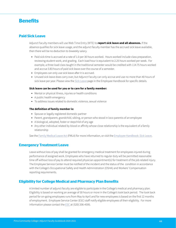# <span id="page-43-0"></span>**Benefits**

# **Paid Sick Leave**

Adjunct Faculty members will use Web Time Entry (WTE) to **report sick leave and all absences.** If the absence qualifies for sick leave usage, and the adjunct faculty member has the accrued sick leave available, then there will be no deduction to biweekly salary.

- Paid sick time is accrued at a rate of 1.0 per 30 hours worked. Hours worked include class preparation, reviewing student work, and grading. Each load hour is equivalent to 2.25 hours worked per week. For example, a three load class taught in the traditional semester would be credited with 114.75 hours worked and accrue 3.83 hours of paid sick leave over the course of a semester.
- Employees can only use sick leave after it is accrued.
- Unused sick leave does carry over, but Adjunct Faculty can only accrue and use no more than 40 hours of sick leave per year. Please view the [Sick Leave](https://www.pima.edu/administration/human-resources/employee-handbook/docs/sick-leave.pdf) page in the Employee Handbook for specific details.

#### **Sick leave can be used for you or to care for a family member:**

- Mental or physical illness, injuries or health conditions
- A public health emergency
- To address issues related to domestic violence, sexual violence

#### **The definition of family member is:**

- Spouse or legally registered domestic partner
- Parent, grandparent, grandchild, sibling, or person who stood in loco parentis of an employee
- A biological, adopted, foster or stepchild of any age
- Any other individual related by blood or affinity whose close relationship is the equivalent of a family relationship

See the [Family Medical Leave Act](https://pima.edu/administration/human-resources/employee-handbook/docs/family-medical-leave-act.pdf) (FMLA) for more information, or visit the [Employee Handbook: Sick Leave.](https://pima.edu/administration/human-resources/employee-handbook/docs/sick-leave.pdf)

#### **Emergency Treatment Leave**

Leave without loss of pay shall be granted for emergency medical treatment for employees injured during performance of assigned work. Employees who have returned to regular duty will be permitted reasonable time off without loss of pay to attend required physician appointment(s) for treatment of the job related injury. The Employee Service Center must be notified of the incident and the status of the condition in accordance with the College's Occupational Safety and Health Administration (OSHA) and Workers' Compensation reporting requirements.

# **Eligibility for College Medical and Pharmacy Plan Benefits**

A limited number of adjunct faculty are eligible to participate in the College's medical and pharmacy plan. Eligibility is based on working an average of 30 hours or more in the College's look back period. The look back period for on-going employees runs from May to April and for new employees is based on the first 12 months of employment. Employee Service Center (ESC) staff notify eligible employees of their eligibility. For more information please contact the [ESC](mailto:esc@pima.ed) at (520) 206-4595.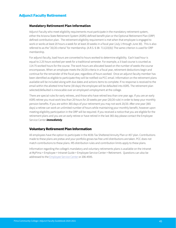# <span id="page-44-0"></span>**Adjunct Faculty Retirement**

#### **Mandatory Retirement Plan Information**

Adjunct Faculty who meet eligibility requirements must participate in the mandatory retirement system, either the Arizona State Retirement System (ASRS) defined benefit plan or the Optional Retirement Plan (ORP) defined contribution plan. The retirement eligibility requirement is met when that employee is engaged to work or works at least 20 hours a week for at least 20 weeks in a fiscal year (July 1 through June 30). This is also referred to as the "20/20 criteria" for membership. (A.R.S. § 38- 711(23)(b)) The same criterion is used for ORP membership.

For adjunct faculty, load hours are converted to hours worked to determine eligibility. Each load hour is equal to 2.25 hours worked per week for a traditional semester. For example, a 3-load course is counted as 114.75 worked hours for the course. The work hours are allocated based on the number of weeks the course encompasses. When an employee meets the 20/20 criteria in a fiscal year, retirement deductions begin and continue for the remainder of the fiscal year, regardless of hours worked. Once an adjunct faculty member has been identified as eligible to participate they will be notified via PCC email. Information on the retirement plans available will be included along with due dates and actions items to complete. If no response is received to the email within the allotted time frame (30 days) the employee will be defaulted into ASRS. The retirement plan selected/defaulted is irrevocable over an employee's employment at the college.

There are special rules for early retirees, and those who have retired less than one year ago. If you are an early ASRS retiree you must work less than 20 hours for 20 weeks per year (20/20 rule) in order to keep your monthly pension benefits. If you are within 365 days of your retirement you may not work 20/20. After one year (365 days) a retiree can work an unlimited number of hours while maintaining your monthly benefit, however upon meeting eligibility participation in the ORP will be required. If you received a notice that you are eligible for the retirement plans and you are an early retiree or have retired in the last 365 day please contact the Employee Service Center *immediately*.

# **Voluntary Retirement Plan Information**

All employees have the option to participate in the 403b Tax Sheltered Annuity Plan or 457 plan. Contributions made to these plans are pretax and your portfolio grows tax free until distributions are taken. PCC does not match contributions to these plans. IRS distribution rules and contribution limits apply to these plans.

Information regarding the college's mandatory and voluntary retirements plans is available on the intranet at MyPima > Employee > Intranet Guide > Employee Service Center > Retirement. Questions can also be addressed to the [Employee Service Center](https://www.pima.edu/faculty-staff/pimanews/) or 206-4595.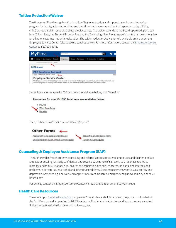# <span id="page-45-0"></span>**Tuition Reduction/Waiver**

The Governing Board recognizes the benefits of higher education and supports a tuition and fee waiver program for faculty, adjuncts, full-time and part-time employees--as well as their spouses and qualifying child(ren)--to enroll in, or audit, College credit courses. The waiver extends to the Board-approved, per credit hour Tuition Rate, the Student Services Fee, and the Technology Fee. Program participants shall be responsible for all other costs incurred with registration. The tuition reduction/waiver form is available online under the Employee Services Center (please see screenshot below). For more information, contact the [Employee Service](https://www.pima.edu/faculty-staff/pimanews/)  [Center](https://www.pima.edu/faculty-staff/pimanews/) at (520) 206-4945.



Under Resources for specific ESC functions are available below, click "benefits."

#### Resources for specific ESC functions are available below:



Then, "Other Forms." Click "Tuition Waiver Request."



## **Counseling & Employee Assistance Program (EAP)**

The EAP provides free short term counseling and referral services to covered employees and their immediate families. Counseling is strictly confidential and covers a wide range of concerns, such as those related to marriage and family, relationships, divorce and separation, financial concerns, personal and interpersonal problems, eldercare issues, alcohol and other drug problems, stress management, work issues, anxiety and depression. Day, evening, and weekend appointments are available. Emergency help is available by phone 24 hours a day.

For details, contact the Employee Service Center: call 520-206-4945 or email ESC@pima.edu.

## **Health Care Resources**

The on-campus [Eastside Health Clinic](https://www.pima.edu/faculty-staff/pimanews/) is open to Pima students, staff, faculty, and the public. It is located on the East Campus and is operated by MHC Healthcare. Most major health plans and insurances are accepted. Sliding fees are available for those without insurance.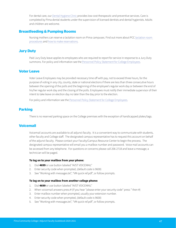<span id="page-46-0"></span>For dental care, our [Dental Hygiene Clinic](https://www.pima.edu/faculty-staff/pimanews/) provides low-cost therapeutic and preventive services. Care is completed by Pima dental students under the supervision of licensed dentists and dental hygienists. Adults and children are welcome.

# **Breastfeeding & Pumping Rooms**

Nursing mothers can reserve a lactation room on Pima campuses. Find out more about PCC [lactation room](https://pima.edu/student-resources/support-services/health-wellness-safety/docs/lactation-room-operating-procedures.pdf)  [procedures](https://pima.edu/student-resources/support-services/health-wellness-safety/docs/lactation-room-operating-procedures.pdf) and [how to make reservations](https://pima.edu/student-resources/support-services/health-wellness-safety/docs/lactation-room-campus-contacts.pdf).

# **Jury Duty**

Paid Jury Duty leave applies to employees who are required to report for service in response to a Jury Duty summons. For policy and information see the [Personnel Policy Statement for College Employees](https://pima.edu/administration/human-resources/employee-handbook/docs/civic-duty-leave.pdf).

# **Voter Leave**

Voter Leave Employees may be provided necessary time off with pay, not to exceed three hours, for the purpose of voting in any city, county, state or national elections if there are less than three consecutive hours between the opening of the polls and the beginning of the employee's regular work day or between the end of his/her regular work day and the closing of the polls. Employees must notify their immediate supervisor of their intent to take leave on election day no later than the day prior to the election.

For policy and information see the [Personnel Policy Statement for College Employees.](https://www.pima.edu/faculty-staff/pimanews/)

# **Parking**

There is no reserved parking space on the College premises with the exception of handicapped plates/tags.

# **Voicemail**

Voicemail accounts are available to all adjunct faculty. It is a convenient way to communicate with students, other faculty and College staff. The designated campus representative has to request this account on behalf of the adjunct faculty. Please contact your Faculty/Campus Resource Center to begin the process. The designated campus representative will email you a mailbox number and password. Voice mail accounts can be accessed from any telephone. For questions or concerns please call 206-2718 and leave a message; a technician will be paged.

#### **To log on to your mailbox from your phone:**

- 1. Dial **4699** or use button labeled "AVST VOICEMAIL"
- 2. Enter security code when prompted, (default code is 9600)
- 3. See "Working with messages.txt", "VM quick ref.pdf", or follow prompts.

#### **To log on to your mailbox from another college phone:**

- 1. Dial **4699** or use button labeled "AVST VOICEMAIL"
- 2. When voicemail answers press # (if you hear "please enter your security code" press \* then #)
- 3. Enter mailbox number when prompted, usually your extension number.
- 4. Enter security code when prompted, (default code is 9600)
- 5. See "Working with messages.txt", "VM quick ref.pdf", or follow prompts.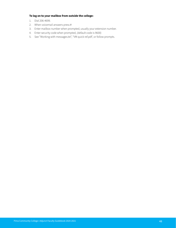# **To log on to your mailbox from outside the college:**

- 1. Dial 206-4699.
- 2. When voicemail answers press #
- 3. Enter mailbox number when prompted, usually your extension number.
- 4. Enter security code when prompted, (default code is 9600)
- 5. See "Working with messages.txt", "VM quick ref.pdf', or follow prompts.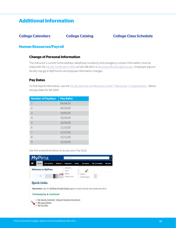# <span id="page-48-0"></span>**Additional Information**

# **[College Calendars](https://www.pima.edu/academics-programs/college-catalog/index) [College Catalog](https://www.pima.edu/academics-programs/college-catalog/index) [College Class Schedule](https://www.pima.edu/academics-programs/courses/index)**

# **Human Resources/Payroll**

## **Change of Personal Information**

The instructor's current home address, telephone number(s) and emergency contact information must be listed with the [Faculty Certification office](https://www.pima.edu/faculty-staff/pimanews/) at 520-206-4417 or [facultycertification@pima.edu](https://www.pima.edu/faculty-staff/pimanews/). Employed adjunct faculty may go to MyPima for all employee information changes.

### **Pay Dates**

To find Payroll information, see the [Faculty Services and Resource Center](https://sites.google.com/pima.edu/facultyservices/home?authuser=0) > Resources > [Compensation.](https://sites.google.com/pima.edu/facultyservices/resources/compensation?authuser=0) Below are pay dates for fall 2020:

| <b>Pay Dates</b> |
|------------------|
| 09/04/20         |
| 09/18/20         |
| 10/02/20         |
| 10/16/20         |
| 10/30/20         |
| 11/13/20         |
| 11/27/20         |
| 12/11/20         |
| 12/23/20         |
|                  |

See the screenshot below to access your Pay Stub:

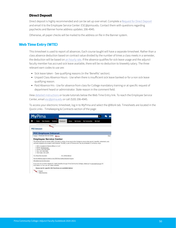# <span id="page-49-0"></span>**Direct Deposit**

Direct deposit is highly recommended and can be set up over email. Complete a [Request for Direct Deposit](https://mypima.pima.edu/delegate/pcciQ?pcciFile=/intranet/esc/payroll/docs/Direct%20Deposit%20Form%2010.2014.pdf) and email it to the Employee Service Center: ESC@pima.edu. Contact them with questions regarding paychecks and Banner home address updates: 206-4945.

Otherwise, all paper checks will be mailed to the address on file in the Banner system.

# **Web Time Entry (WTE)**

This timesheet is used to report *all* absences. Each course taught will have a separate timesheet. Rather than a class absence deduction based on contract value divided by the number of times a class meets in a semester, the deduction will be based on [an hourly rate](https://pima.edu/administration/human-resources/employee-handbook/docs/faculty-compensation.pdf). If the absence qualifies for sick leave usage and the adjunct faculty member has accrued sick leave available, there will be no deduction to biweekly salary. The three relevant earn codes to use are:

- Sick leave taken See qualifying reasons (in the 'Benefits' section).
- Unpaid Class Absence Hours Use when there is insufficient sick leave banked or for a non sick leave qualifying reason.
- Paid Absence Hrs Use for absence from class for College mandatory training or at specific request of department heard or administrator. State reason in the comment field.

View [detailed instructions](https://drive.google.com/drive/folders/1zVViXOjgu0wkedUi-9jZOWh9AnR1IwTK) or locate tutorials below the Web Time Entry link. To reach the Employee Service Center, email [esc@pima.edu](mailto:esc@pima.edu) or call (520) 206-4945.

To access your electronic timesheet, log in to MyPima and select the @Work tab. Timesheets are located in the Quick Links - Timekeeping & Contracts section of the page:

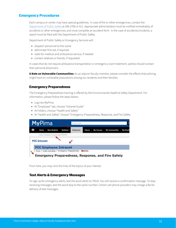# <span id="page-50-0"></span>**Emergency Procedures**

Each campus or center may have special guidelines. In case of fire or other emergencies, contact the [Department of Public Safety](https://pima.edu/student-resources/support-services/health-wellness-safety/public-safety.html) at 206-2700 or 911. Appropriate administrators must be notified immediately of accidents or other emergencies, and must complete an accident form. In the case of accidents/incidents, a report must be filed with the Department of Public Safety.

Department of Public Safety or Emergency Services will:

- dispatch personnel to the scene
- administer first aid, if required
- radio for medical and ambulance service, if needed
- contact relatives or friends, if requested

In cases that do not require ambulance transportation or emergency room treatment, parties should contact their personal physicians.

**A Note on Vulnerable Communities:** As an adjunct faculty member, please consider the effects that policing might have on vulnerable populations among our students and their families.

#### **Emergency Preparedness**

The Emergency Preparedness training is offered by the Environmental Health & Safety Department. For information, please follow the steps below:

- Log into MyPima
- At "Employee" tab, choose "Intranet Guide"
- At Folders, choose "Health and Safety"
- At "Health and Safety" choose "Emergency Preparedness, Response, and Fire Safety



From here, you may click the links of the topics of your interest.

#### **Text Alerts & Emergency Messages**

To sign up for emergency alerts, text the word alerts to 79516. You will receive a confirmation message. To stop receiving messages, text the word stop to the same number. Certain cell phone providers may charge a fee for delivery of text messages.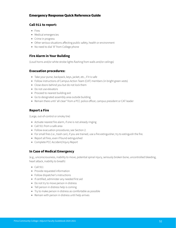# **Emergency Response Quick Reference Guide**

# **Call 911 to report:**

- Fires
- Medical emergencies
- Crime in progress
- Other serious situations affecting public safety, health or environment
- No need to dial '8" from College phone

### **Fire Alarm in Your Building**

(Loud horns and/or white strobe lights flashing from walls and/or ceilings)

### **Evacuation procedures:**

- Take your purse, backpack, keys, jacket, etc., if it is safe
- Follow instructions of Campus Action Team (CAT) members (in bright green vests)
- Close doors behind you but do not lock them
- Do not use elevators
- Proceed to nearest building exit
- Go to designated assembly area outside building
- Remain there until 'all clear" from a PCC police officer, campus president or CAT leader

### **Report a Fire**

(Large, out-of-control or smoky tire)

- Activate nearest fire alarm, if one is not already ringing
- Call 911 from a safe area
- Follow evacuation procedures; see Section 2.
- For small fires (i.e., trash can), if you are trained, use a fire extinguisher, try to extinguish the fire.
- Report all fires, even if found extinguished
- Complete PCC Accident/Injury Report

# **In Case of Medical Emergency**

(e.g., unconsciousness, inability to move, potential spinal injury, seriously broken bone, uncontrolled bleeding, heart attack, inability to breath)

- Call 911
- Provide requested information
- Follow dispatcher's instructions
- If certified, administer any needed first aid
- Do not try to move person in distress
- Tell person in distress help is coming
- Try to make person in distress as comfortable as possible
- Remain with person in distress until help arrives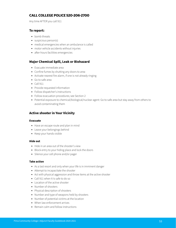# **CALL COLLEGE POLICE 520-206-2700**

Any time AFTER you call 911

# **To report:**

- bomb threats
- suspicious person(s)
- medical emergencies when an ambulance is called
- motor vehicle accidents without injuries
- after-hours facilities emergencies

# **Major Chemical Spill, Leak or Biohazard**

- Evacuate immediate area
- Confine fumes by shutting any doors to area
- Activate nearest fire alarm, if one is not already ringing
- Go to safe area
- $\bullet$  Call 911
- Provide requested information
- Follow dispatcher's instructions
- Follow evacuation procedures; see Section 2
- Potential exposure to chemical/biological/nuclear agent: Go to safe area but stay away from others to avoid contaminating them

### **Active shooter in Your Vicinity**

#### **Evacuate**

- Have an escape route and plan in mind
- Leave your belongings behind
- Keep your hands visible

#### **Hide out**

- Hide in an area out of the shooter's view
- Block entry to your hiding place and lock the doors
- Silence your cell phone and/or pager

#### **Take action**

- As a last resort and only when your life is in imminent danger
- Attempt to incapacitate the shooter
- Act with physical aggression and throw items at the active shooter
- Call 911 when It Is safe to do so
- Location of the active shooter
- Number of shooters
- Physical description of shooters
- Number and type of weapons held by shooters
- Number of potential victims at the location
- When law enforcement arrives
- Remain calm and follow instructions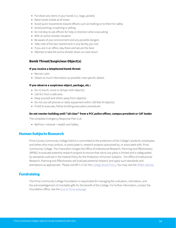- <span id="page-53-0"></span>• Put down any items in your hands (i.e., bags, jackets)
- Raise hands visible at all times
- Avoid quick movements toward officers such as holding on to them for safety
- Avoid pointing, screaming or yelling
- Do not stop to ask officers for help or direction when evacuating
- With an active shooter situation
- Be aware of your environment and any possible dangers
- Take note of the two nearest exits in any facility you visit
- If you are in an office, stay there and secure the door
- Attempt to take the active shooter down as a last resort

### **Bomb Threat/Suspicious Object(s)**

#### **If you receive a telephoned bomb threat:**

- Remain calm
- Obtain as much information as possible; note specific details

#### **If you observe a suspicious object, package, etc.:**

- Do no touch, move or tamper with object(s)
- Call 911 from a safe area
- Keep yourself and others away from object(s)
- Do not use cell phones or radio equipment within 100 feet of object(s)
- If told to evacuate, follow building evacuation procedures

#### **Do not reenter building until "all clear" from a PCC police officer, campus president or CAT leader**

The complete Emergency Response Plan is at

• MyPima > Intranet > Health and Safety.

#### **Human Subjects Research**

Pima County Community College District is committed to the protection of the College's students, employees, and others who may conduct, or participate in, research projects sponsored by, or associated with, Pima Community College. The Chancellor charges the Office of Institutional Research, Planning and Effectiveness (IRP&E) to evaluate potential research projects to ensure that risk to any party is limited and is safeguarded by standards outlined in the Federal Policy for the Protection of Human Subjects. The Office of Institutional Research, Planning and Effectiveness will evaluate potential research and apply such standards and exemptions as appropriate. Please visit BP 2.11 for the [College Board Policy](https://pima.edu/about-pima/leadership-policies/policies/board-policies/docs-bp-02/BP-2-11.pdf). You may visit the [IRP&E website.](https://www.pima.edu/administration/star/index.html)

# **Fundraising**

The Pima Community College Foundation is responsible for managing the cultivation, solicitation, and the acknowledgement of charitable gifts for the benefit of the College. For further information, contact the Foundation Office. See the [Give to Pima webpage](http://www.pima.edu/give-to-pima/index.html).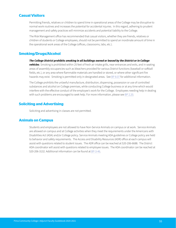# <span id="page-54-0"></span>**Casual Visitors**

Permitting friends, relatives or children to spend time in operational areas of the College may be disruptive to normal work routines and increases the potential for accidental injuries. In this regard, adhering to prudent management and safety practices will minimize accidents and potential liability to the College.

The Risk Management office has recommended that casual visitors, whether they are friends, relatives or children of students or College employees, should not be permitted to spend an inordinate amount of time in the operational work areas of the College (offices, classrooms, labs, etc.).

# **Smoking/Drugs/Alcohol**

*The College District prohibits smoking in all buildings owned or leased by the District or in College vehicles*. Smoking is prohibited within 25 feet of fresh air intake grills, near entrances and exits, and in seating areas of assembly occupancies such as bleachers provided for various District functions (baseball or softball fields, etc.), or any area where flammable materials are handled or stored, or where other significant fire hazards may exist. Smoking is permitted only in designated areas. See [BP 8.07](https://pima.edu/about-pima/leadership-policies/policies/board-policies/docs-bp-08/BP-8-07.pdf) for additional information.

The College prohibits the unlawful manufacture, distribution, dispensing, possession or use of controlled substances and alcohol on College premises, while conducting College business or at any time which would interfere with the effective conduct of the employee's work for the College. Employees needing help in dealing with such problems are encouraged to seek help. For more information, please see [BP 2.20.](https://pima.edu/about-pima/leadership-policies/policies/board-policies/docs-bp-02/BP-2-20.pdf)

# **Soliciting and Advertising**

Soliciting and advertising in classes are not permitted.

# **Animals on Campus**

Students and employees are not allowed to have Non-Service Animals on campus or at work. Service Animals are allowed on campus and at College activities when they meet the requirements under the Americans with Disabilities Act (ADA) and/or College policy. Service Animals meeting ADA guidelines or College policy are held to behavior and safety requirements. The Access and Disability Resources (ADR) office at each campus will assist with questions related to student issues. The ADR office can be reached at 520-206-6688. The District ADA coordinator will assist with questions related to employee issues. The ADA coordinator can be reached at 520-206-3132. Additional information can be found at [BP-3-46.](https://www.pima.edu/about-pima/leadership-policies/policies/administrative-procedures/docs-ap-02/ap-2-01-01.pdf)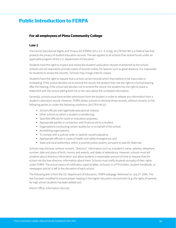# <span id="page-55-0"></span>**Public Introduction to FERPA**

# **For all employees of Pima Community College**

#### **Law 1**

The Family Educational Rights and Privacy Act (FERPA) (20 U.S.C. § 1232g; 34 CFR Part 99) is a Federal law that protects the privacy of student education records. The law applies to all schools that receive funds under an applicable program of the U.S. Department of Education.

Students have the right to inspect and review the student's education records maintained by the school. Schools are not required to provide copies of records unless, for reasons such as great distance, it is impossible for students to review the records\_ Schools may charge a fee for copies.

Students have the right to request that a school correct records which they believe to be inaccurate or misleading. If the school decides not to amend the record, the student then has the right to a formal hearing. After the hearing, if the school still decides not to amend the record, the student has the right to place a statement with the record setting forth his or her view about the contested information.

Generally, schools must have written permission from the student in order to release any information from a student's education record. However, FERPA allows schools to disclose those records, without consent, to the following parties or under the following conditions (34 CFR § 99.31):

- School officials with legitimate educational interest;
- Other schools to which a student is transferring;
- Specified officials for audit or evaluation purposes;
- Appropriate parties in connection with financial aid to a student;
- Organizations conducting certain studies for or on behalf of the school;
- Accrediting organizations;
- To comply with a judicial order or lawfully issued subpoena;
- Appropriate officials in cases of health and safety emergencies; and
- State and local authorities, within a juvenile justice system, pursuant to specific State law.

Schools may disclose, without consent, "directory" information such as a student's name, address, telephone number, date and place of birth, honors and awards, and dates of attendance. However, schools must tell students about directory information and allow students a reasonable amount of time to request that the school not disclose directory information about them. Schools must notify students annually of their rights under FERPA. The actual means of notification (special letter, inclusion in a PTA bulletin, student handbook, or newspaper article) is left to the discretion of each school.

The following text is from the US. Department of Education, FERPA webpage. Retrieved on July 27, 2009. The text has been modified to ensure proper reading in the higher education environment (e.g. the rights of parents for high school students has been edited out).

District Office, Information Security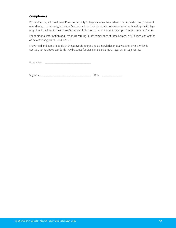# **Compliance**

Public directory information at Pima Community College includes the student's name, field of study, dates of attendance, and date of graduation. Students who wish to have directory information withheld by the College may fill out the form in the current Schedule of Classes and submit it to any campus Student Services Center.

For additional information or questions regarding FERPA compliance at Pima Community College, contact the office of the Registrar (520-206-4700)

I have read and agree to abide by the above standards and acknowledge that any action by me which is contrary to the above standards may be cause for discipline, discharge or legal action against me.

Print Name \_\_\_\_\_\_\_\_\_\_\_\_\_\_\_\_\_\_\_\_\_\_\_\_\_\_\_\_\_\_\_\_

Signature \_\_\_\_\_\_\_\_\_\_\_\_\_\_\_\_\_\_\_\_\_\_\_\_\_\_\_\_\_\_\_\_\_\_ Date \_\_\_\_\_\_\_\_\_\_\_\_\_\_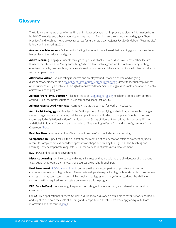# <span id="page-57-0"></span>**Glossary**

The following terms are used often at Pima or in higher education. Links provide additional information from both PCC's website and other academics and institutions. The glossary also introduces pedagogical "Best Practices" and teaching methodology resources for further study. An Adjunct Faculty Guidebook "Reading List" is forthcoming in Spring 2021.

**Academic Achievement** - Outcomes indicating if a student has achieved their learning goals or an institution has achieved their educational goals.

**Active Learning** - Engages students through the process of activities and discussions, rather than lectures. It means that students are "doing something," which often involves group work, problem solving, writing exercises, projects, peer-teaching, debates, etc.---all which centers higher-order thinking. A further introduction with examples is [here](https://cft.vanderbilt.edu/wp-content/uploads/sites/59/Active-Learning.pdf).

**Affirmative Action** - Re-allocating resources and employment due to wide-spread and ongoing discriminatory practices. "It is [the policy of Pima County Community College](https://pima.edu/student-resources/student-policies-complaints/affirmative-action.html) District that equal employment opportunity can only be achieved through demonstrated leadership and aggressive implementation of a viable affirmative action program."

**Adjunct / Part-Time / Lecturer** - Also referred to as "[Contingent Faculty](https://www.aaup.org/issues/contingent-faculty-positions/resources-contingent-positions)" teach on a limited-term contract. Around 70% of the professoriate at PCC is comprised of adjunct faculty.

**Adjunct Faculty Load Hour Rate** - Currently, it is \$31.00 per hour for work on weekdays.

**Anti-Racist Pedagogy** - Anti-racism is the "active process of identifying and eliminating racism by changing systems, organizational structures, policies and practices and attitudes, so that power is redistributed and shared equitably" (National Action Committee on the Status of Women International Perspectives: Women and Global Solidarity). You can watch the webinar "Responding to Racial Bias and Micro-Aggressions in the Classroom" [here](https://www.youtube.com/watch?v=9cEWQJ32nqU).

**Best Practices** - Also referred to as "high impact practices" and includes Active Learning.

**Compensation** - Specifically in this orientation, the mention of compensation refers to payment adjuncts receive to complete professional development workshops and training through PCC. The Teaching and Learning Center compensates adjuncts \$25.00 for every hour of professional development.

**D2L** - PCC's online learning environment.

**Distance Learning** - Online courses with virtual instruction that include the use of videos, webinars, online texts, audio, chat rooms, etc. At PCC, these courses are taught through D2L.

**Dual Enrollment** - [PCC dual enrollment](https://www.pima.edu/about-pima/accreditation/assurance-2018/docs/curriculum-cur/dual-enrollment-due/18-cur-due-103432-dual-enrollment-handbook-aug-2018.pdf) courses are the product of partnerships between Arizona's community colleges and high schools. These partnerships allow qualified high school students to take college courses that may count toward both high school and college graduation, offering students the ability to shorten the time required to complete a degree or certificate program.

**F2F (Face To Face)** - courses taught in person consisting of live interactions, also referred to as traditional classrooms.

**FAFSA** - Free Application for Federal Student Aid. Financial assistance is available to cover tuition, fees, books and supplies and even the costs of housing and transportation, for students who apply and qualify. More information and the form is [here.](https://www.pima.edu/paying-for-college/financial-aid/index))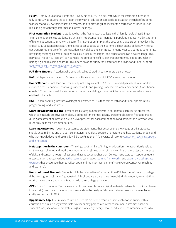**FERPA** - Family Educational Rights and Privacy Act of 1974. This act, with which the institution intends to fully comply, was designated to protect the privacy of educational records, to establish the right of students to inspect and review their education records, and to provide guidelines for the correction of inaccurate or misleading data through informal and formal hearings.

**First-Generation Student** - a student who is the first to attend college in their family (excluding siblings). "First-generation college students are critically important and an increasing population at nearly all institutions of higher education...Ultimately, the term "first-generation" implies the possibility that a student may lack the critical cultural capital necessary for college success because their parents did not attend college. While firstgeneration students are often quite academically skilled and contribute in many ways to a campus community, navigating the tangled web of college policies, procedures, jargon, and expectations can be a challenge. This pervasive "hidden curriculum" can damage the confidence of first-generation students, lead to struggles in belonging, and result in departure. This opens an opportunity for institutions to provide additional support" ([Center for First-Generation Student Success](https://firstgen.naspa.org/about-the-center)).

**Full-time Student** - A student who generally takes 12 credit hours or more per semester.

**HACU** - Hispanic Association of Colleges and Universities, for which PCC is an active member.

**Hours Worked** - Each load hour for an adjunct is equivalent to 2.25 hours worked per week Hours worked includes class preparation, reviewing student work, and grading. For example, a 3 credit course (3 load hours) equals 6.75 hours worked. This is important when calculating accrued sick leave and whether adjuncts are eligible for benefits.

**HSI** - Hispanic Serving Institute, a delegation awarded to PCC that carries with it additional opportunities, programming, and resources.

**Learning Accommodations** - personalized strategies necessary for a student to reach course objectives, which can include assistive technology, additional time for test-taking, preferential seating, frequent breaks during assessment or instruction, etc. ADA approves these accommodations and notifies the professor, who must provide these accommodations.

**Learning Outcomes** - "Learning outcomes are statements that describe the knowledge or skills students should acquire by the end of a particular assignment, class, course, or program, and help students understand why that knowledge and those skills will be useful to them" (University of Toronto [Center for Teaching Support](https://teaching.utoronto.ca/teaching-support/course-design/developing-learning-outcomes/what-are-learning-outcomes/)  [and Innovation\)](https://teaching.utoronto.ca/teaching-support/course-design/developing-learning-outcomes/what-are-learning-outcomes/).

**Metacognition in the Classroom** - Thinking about thinking. "In higher education, metacognition is valued for the ways it charges and motivates students with self-regulation of their learning, and enables transference of skills and content through reflection and abstract comprehension. College instructors can support student metacognition through various [active learning](https://ctl.yale.edu/ActiveLearning) techniques, [learning frameworks,](https://ctl.yale.edu/BackwardDesign) and [opening / closing class](https://ctl.yale.edu/Beginning-End-Class)  [exercises](https://ctl.yale.edu/Beginning-End-Class) that encourage them to reflect upon and monitor their learning" (Yale Poorvu Center For Teaching and Learning).

**Non-traditional Student** - Students might be referred to as "non-traditional" if they: put off going to college right after highschool; haven't graduated highschool; are a parent; are financially independent; work full-time; must balance family and work situations with their college education.

**OER** - Open Educational Resources are publicly accessible online digital materials (videos, textbooks, software, images, etc) used for educational purposes and can be freely redistributed. Many classrooms are replacing costly textbooks with OER.

**Opportunity Gap** -Circumstances in which people are born determine their level of opportunity within education and in life, as systemic factors of inequality perpetuate lower educational outcomes based on students' race, socioeconomic status, English proficiency, family's level of education, community's access to